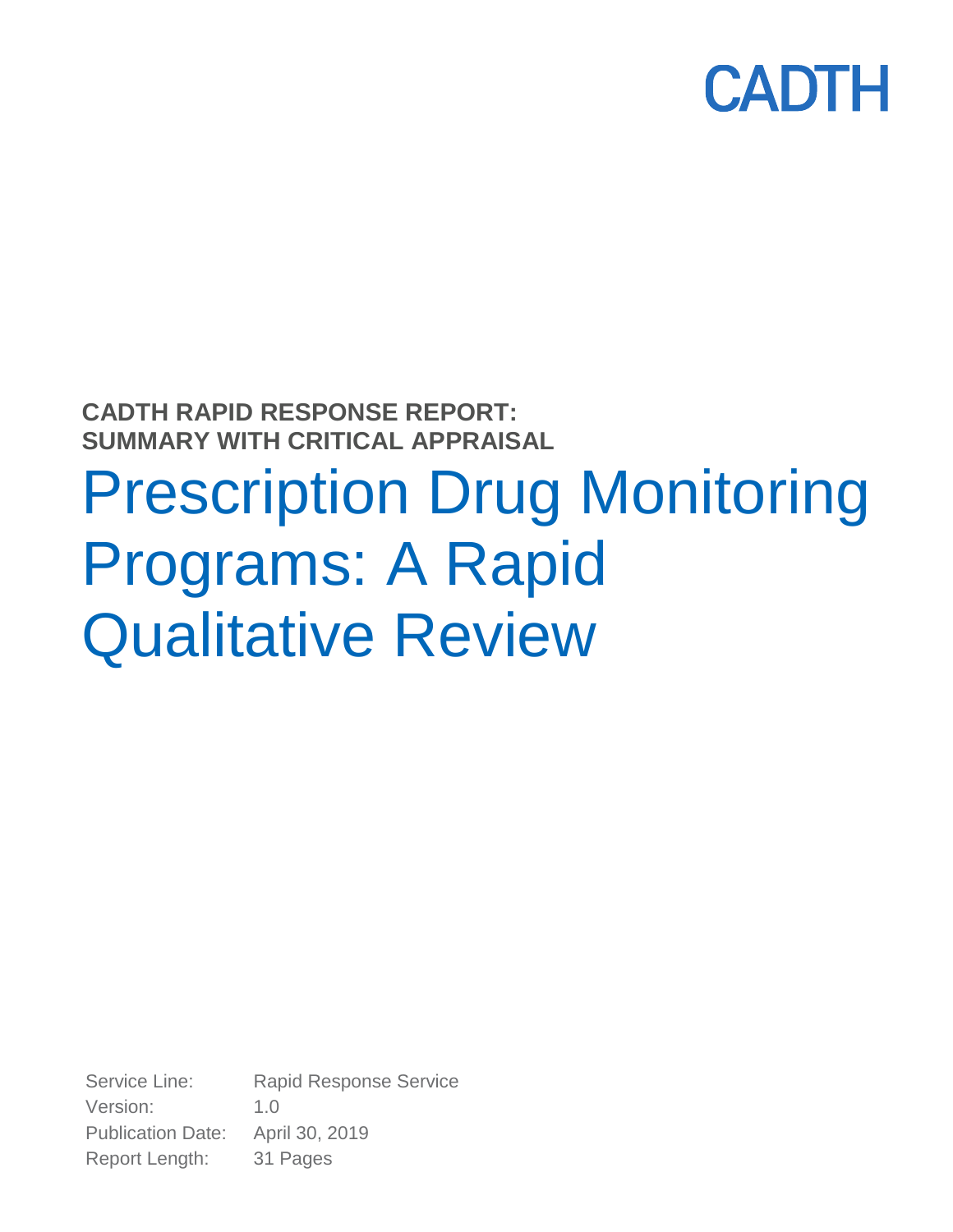

**CADTH RAPID RESPONSE REPORT: SUMMARY WITH CRITICAL APPRAISAL**

# Prescription Drug Monitoring Programs: A Rapid Qualitative Review

Service Line: Rapid Response Service Version: 1.0 Publication Date: April 30, 2019 Report Length: 31 Pages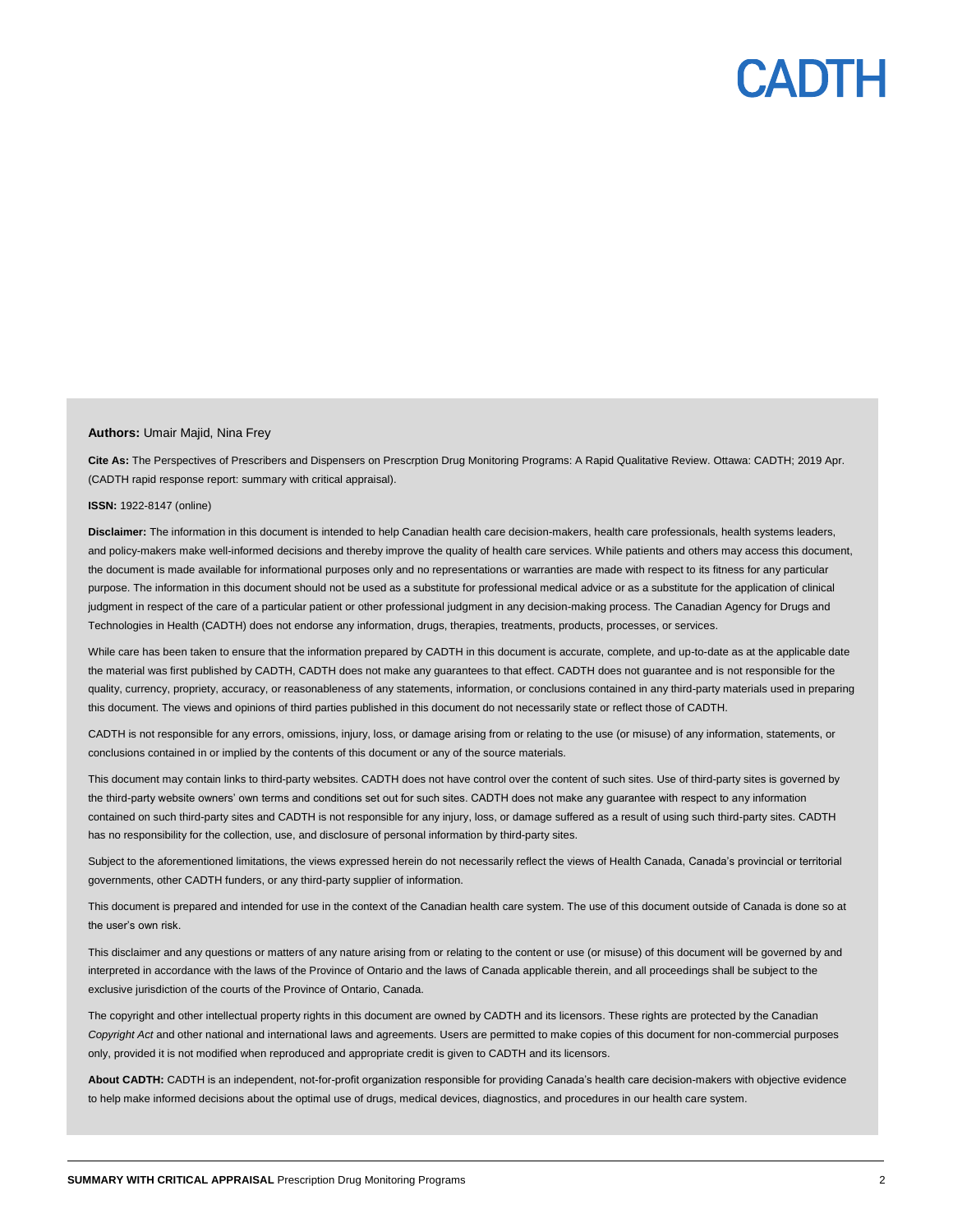#### **Authors:** Umair Majid, Nina Frey

**Cite As:** The Perspectives of Prescribers and Dispensers on Prescrption Drug Monitoring Programs: A Rapid Qualitative Review. Ottawa: CADTH; 2019 Apr. (CADTH rapid response report: summary with critical appraisal).

#### **ISSN:** 1922-8147 (online)

**Disclaimer:** The information in this document is intended to help Canadian health care decision-makers, health care professionals, health systems leaders, and policy-makers make well-informed decisions and thereby improve the quality of health care services. While patients and others may access this document, the document is made available for informational purposes only and no representations or warranties are made with respect to its fitness for any particular purpose. The information in this document should not be used as a substitute for professional medical advice or as a substitute for the application of clinical judgment in respect of the care of a particular patient or other professional judgment in any decision-making process. The Canadian Agency for Drugs and Technologies in Health (CADTH) does not endorse any information, drugs, therapies, treatments, products, processes, or services.

While care has been taken to ensure that the information prepared by CADTH in this document is accurate, complete, and up-to-date as at the applicable date the material was first published by CADTH, CADTH does not make any guarantees to that effect. CADTH does not guarantee and is not responsible for the quality, currency, propriety, accuracy, or reasonableness of any statements, information, or conclusions contained in any third-party materials used in preparing this document. The views and opinions of third parties published in this document do not necessarily state or reflect those of CADTH.

CADTH is not responsible for any errors, omissions, injury, loss, or damage arising from or relating to the use (or misuse) of any information, statements, or conclusions contained in or implied by the contents of this document or any of the source materials.

This document may contain links to third-party websites. CADTH does not have control over the content of such sites. Use of third-party sites is governed by the third-party website owners' own terms and conditions set out for such sites. CADTH does not make any guarantee with respect to any information contained on such third-party sites and CADTH is not responsible for any injury, loss, or damage suffered as a result of using such third-party sites. CADTH has no responsibility for the collection, use, and disclosure of personal information by third-party sites.

Subject to the aforementioned limitations, the views expressed herein do not necessarily reflect the views of Health Canada, Canada's provincial or territorial governments, other CADTH funders, or any third-party supplier of information.

This document is prepared and intended for use in the context of the Canadian health care system. The use of this document outside of Canada is done so at the user's own risk.

This disclaimer and any questions or matters of any nature arising from or relating to the content or use (or misuse) of this document will be governed by and interpreted in accordance with the laws of the Province of Ontario and the laws of Canada applicable therein, and all proceedings shall be subject to the exclusive jurisdiction of the courts of the Province of Ontario, Canada.

The copyright and other intellectual property rights in this document are owned by CADTH and its licensors. These rights are protected by the Canadian *Copyright Act* and other national and international laws and agreements. Users are permitted to make copies of this document for non-commercial purposes only, provided it is not modified when reproduced and appropriate credit is given to CADTH and its licensors.

**About CADTH:** CADTH is an independent, not-for-profit organization responsible for providing Canada's health care decision-makers with objective evidence to help make informed decisions about the optimal use of drugs, medical devices, diagnostics, and procedures in our health care system.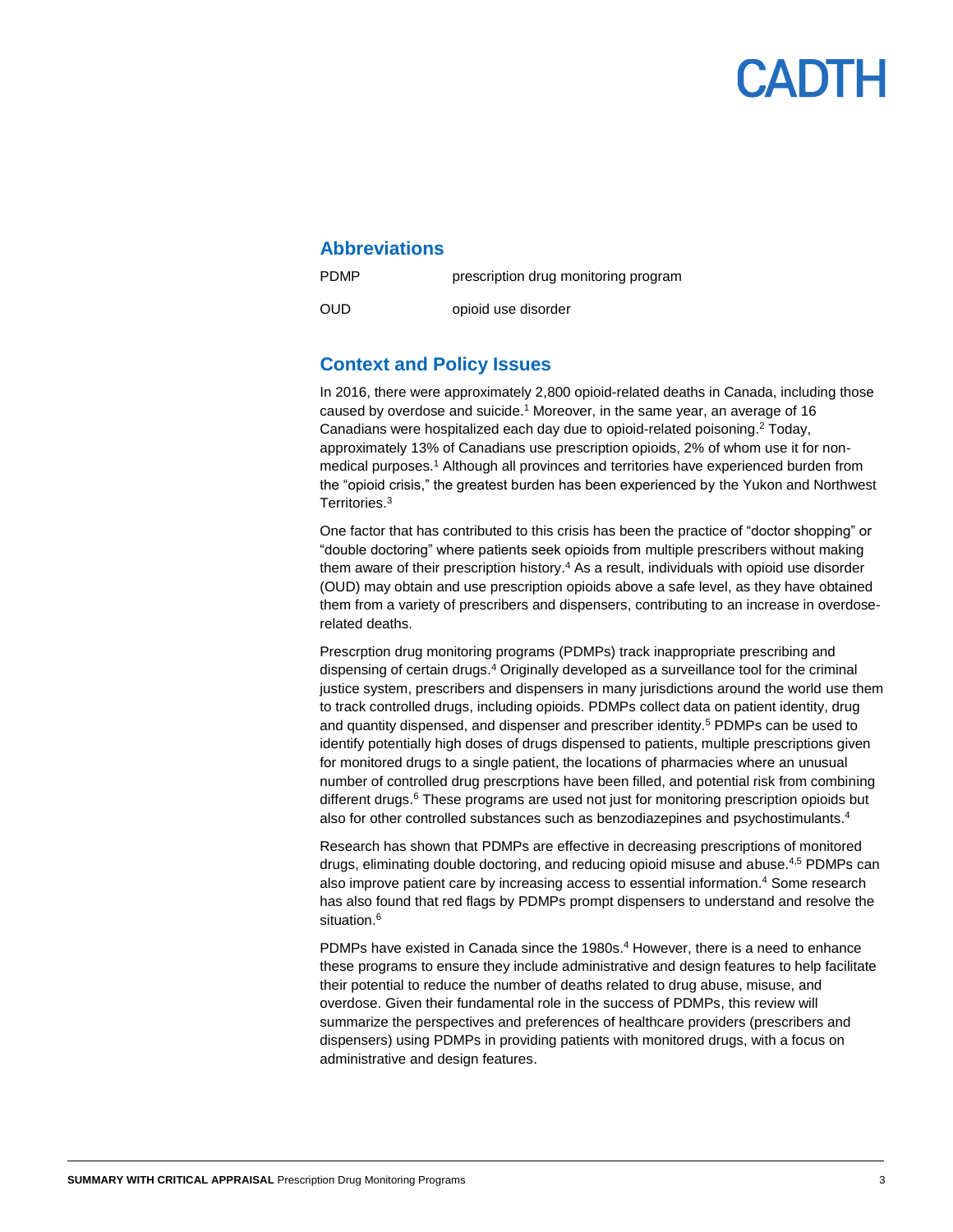### PADTH

### **Abbreviations**

prescription drug monitoring program

OUD

PDMP

opioid use disorder

### **Context and Policy Issues**

In 2016, there were approximately 2,800 opioid-related deaths in Canada, including those caused by overdose and suicide. <sup>1</sup> Moreover, in the same year, an average of 16 Canadians were hospitalized each day due to opioid-related poisoning. <sup>2</sup> Today, approximately 13% of Canadians use prescription opioids, 2% of whom use it for nonmedical purposes.<sup>1</sup> Although all provinces and territories have experienced burden from the "opioid crisis," the greatest burden has been experienced by the Yukon and Northwest Territories.<sup>3</sup>

One factor that has contributed to this crisis has been the practice of "doctor shopping" or "double doctoring" where patients seek opioids from multiple prescribers without making them aware of their prescription history. <sup>4</sup> As a result, individuals with opioid use disorder (OUD) may obtain and use prescription opioids above a safe level, as they have obtained them from a variety of prescribers and dispensers, contributing to an increase in overdoserelated deaths.

Prescrption drug monitoring programs (PDMPs) track inappropriate prescribing and dispensing of certain drugs. <sup>4</sup> Originally developed as a surveillance tool for the criminal justice system, prescribers and dispensers in many jurisdictions around the world use them to track controlled drugs, including opioids. PDMPs collect data on patient identity, drug and quantity dispensed, and dispenser and prescriber identity.<sup>5</sup> PDMPs can be used to identify potentially high doses of drugs dispensed to patients, multiple prescriptions given for monitored drugs to a single patient, the locations of pharmacies where an unusual number of controlled drug prescrptions have been filled, and potential risk from combining different drugs.<sup>6</sup> These programs are used not just for monitoring prescription opioids but also for other controlled substances such as benzodiazepines and psychostimulants. 4

Research has shown that PDMPs are effective in decreasing prescriptions of monitored drugs, eliminating double doctoring, and reducing opioid misuse and abuse.<sup>4,5</sup> PDMPs can also improve patient care by increasing access to essential information. <sup>4</sup> Some research has also found that red flags by PDMPs prompt dispensers to understand and resolve the situation. 6

PDMPs have existed in Canada since the 1980s. <sup>4</sup> However, there is a need to enhance these programs to ensure they include administrative and design features to help facilitate their potential to reduce the number of deaths related to drug abuse, misuse, and overdose. Given their fundamental role in the success of PDMPs, this review will summarize the perspectives and preferences of healthcare providers (prescribers and dispensers) using PDMPs in providing patients with monitored drugs, with a focus on administrative and design features.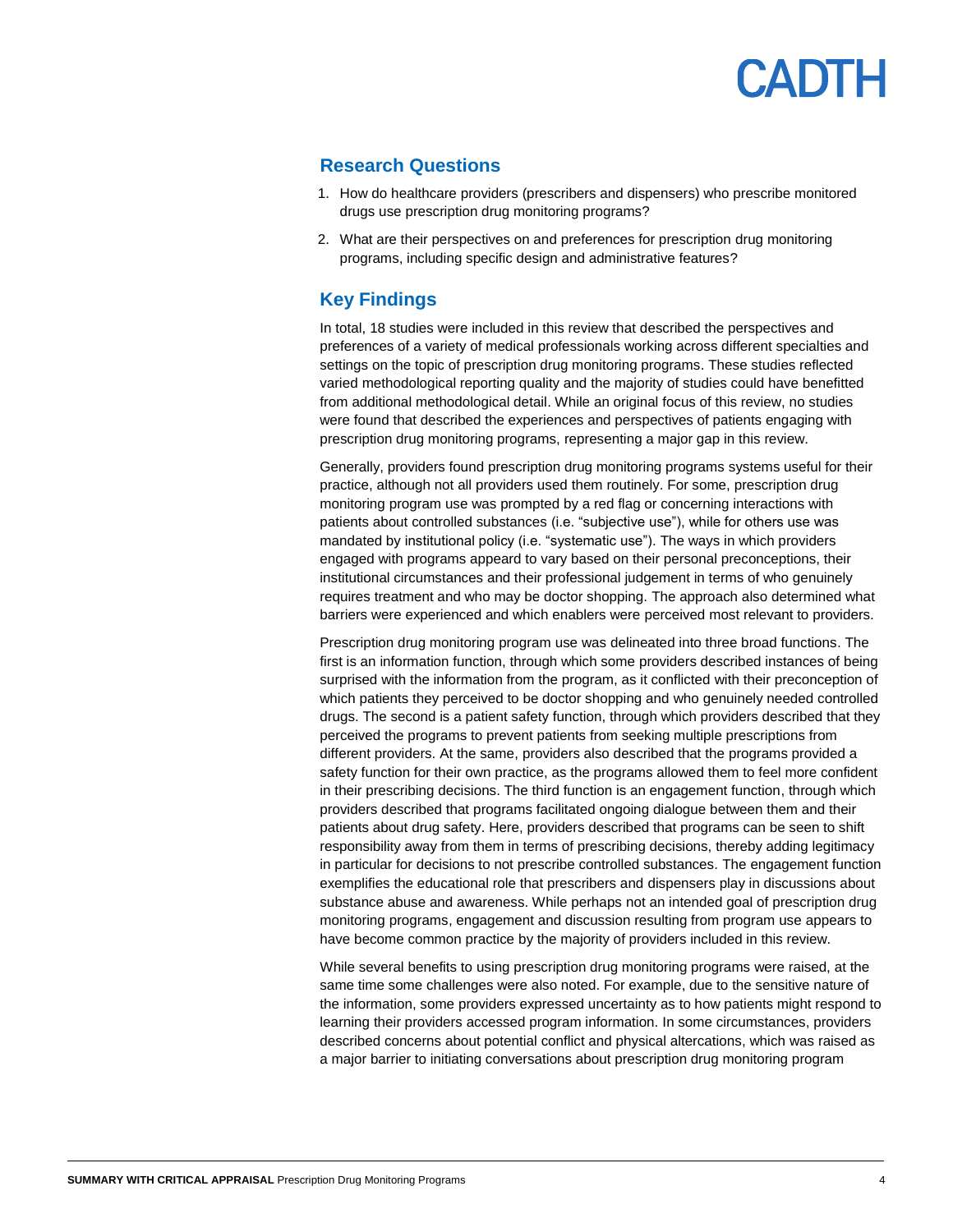### **Research Questions**

- 1. How do healthcare providers (prescribers and dispensers) who prescribe monitored drugs use prescription drug monitoring programs?
- 2. What are their perspectives on and preferences for prescription drug monitoring programs, including specific design and administrative features?

### **Key Findings**

In total, 18 studies were included in this review that described the perspectives and preferences of a variety of medical professionals working across different specialties and settings on the topic of prescription drug monitoring programs. These studies reflected varied methodological reporting quality and the majority of studies could have benefitted from additional methodological detail. While an original focus of this review, no studies were found that described the experiences and perspectives of patients engaging with prescription drug monitoring programs, representing a major gap in this review.

Generally, providers found prescription drug monitoring programs systems useful for their practice, although not all providers used them routinely. For some, prescription drug monitoring program use was prompted by a red flag or concerning interactions with patients about controlled substances (i.e. "subjective use"), while for others use was mandated by institutional policy (i.e. "systematic use"). The ways in which providers engaged with programs appeard to vary based on their personal preconceptions, their institutional circumstances and their professional judgement in terms of who genuinely requires treatment and who may be doctor shopping. The approach also determined what barriers were experienced and which enablers were perceived most relevant to providers.

Prescription drug monitoring program use was delineated into three broad functions. The first is an information function, through which some providers described instances of being surprised with the information from the program, as it conflicted with their preconception of which patients they perceived to be doctor shopping and who genuinely needed controlled drugs. The second is a patient safety function, through which providers described that they perceived the programs to prevent patients from seeking multiple prescriptions from different providers. At the same, providers also described that the programs provided a safety function for their own practice, as the programs allowed them to feel more confident in their prescribing decisions. The third function is an engagement function, through which providers described that programs facilitated ongoing dialogue between them and their patients about drug safety. Here, providers described that programs can be seen to shift responsibility away from them in terms of prescribing decisions, thereby adding legitimacy in particular for decisions to not prescribe controlled substances. The engagement function exemplifies the educational role that prescribers and dispensers play in discussions about substance abuse and awareness. While perhaps not an intended goal of prescription drug monitoring programs, engagement and discussion resulting from program use appears to have become common practice by the majority of providers included in this review.

While several benefits to using prescription drug monitoring programs were raised, at the same time some challenges were also noted. For example, due to the sensitive nature of the information, some providers expressed uncertainty as to how patients might respond to learning their providers accessed program information. In some circumstances, providers described concerns about potential conflict and physical altercations, which was raised as a major barrier to initiating conversations about prescription drug monitoring program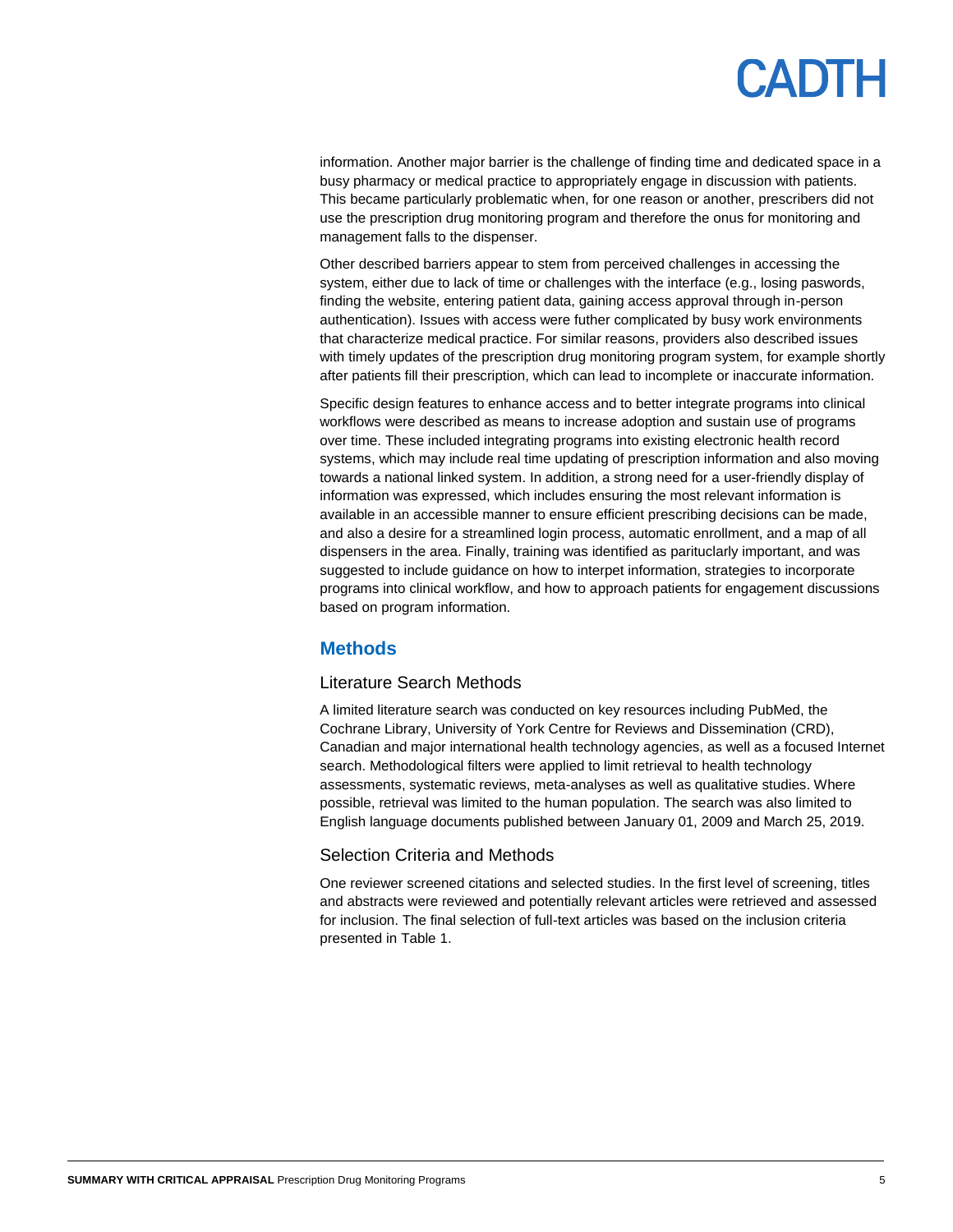information. Another major barrier is the challenge of finding time and dedicated space in a busy pharmacy or medical practice to appropriately engage in discussion with patients. This became particularly problematic when, for one reason or another, prescribers did not use the prescription drug monitoring program and therefore the onus for monitoring and management falls to the dispenser.

Other described barriers appear to stem from perceived challenges in accessing the system, either due to lack of time or challenges with the interface (e.g., losing paswords, finding the website, entering patient data, gaining access approval through in-person authentication). Issues with access were futher complicated by busy work environments that characterize medical practice. For similar reasons, providers also described issues with timely updates of the prescription drug monitoring program system, for example shortly after patients fill their prescription, which can lead to incomplete or inaccurate information.

Specific design features to enhance access and to better integrate programs into clinical workflows were described as means to increase adoption and sustain use of programs over time. These included integrating programs into existing electronic health record systems, which may include real time updating of prescription information and also moving towards a national linked system. In addition, a strong need for a user-friendly display of information was expressed, which includes ensuring the most relevant information is available in an accessible manner to ensure efficient prescribing decisions can be made, and also a desire for a streamlined login process, automatic enrollment, and a map of all dispensers in the area. Finally, training was identified as parituclarly important, and was suggested to include guidance on how to interpet information, strategies to incorporate programs into clinical workflow, and how to approach patients for engagement discussions based on program information.

### **Methods**

#### Literature Search Methods

A limited literature search was conducted on key resources including PubMed, the Cochrane Library, University of York Centre for Reviews and Dissemination (CRD), Canadian and major international health technology agencies, as well as a focused Internet search. Methodological filters were applied to limit retrieval to health technology assessments, systematic reviews, meta-analyses as well as qualitative studies. Where possible, retrieval was limited to the human population. The search was also limited to English language documents published between January 01, 2009 and March 25, 2019.

#### Selection Criteria and Methods

One reviewer screened citations and selected studies. In the first level of screening, titles and abstracts were reviewed and potentially relevant articles were retrieved and assessed for inclusion. The final selection of full-text articles was based on the inclusion criteria presented i[n Table 1.](#page-5-0)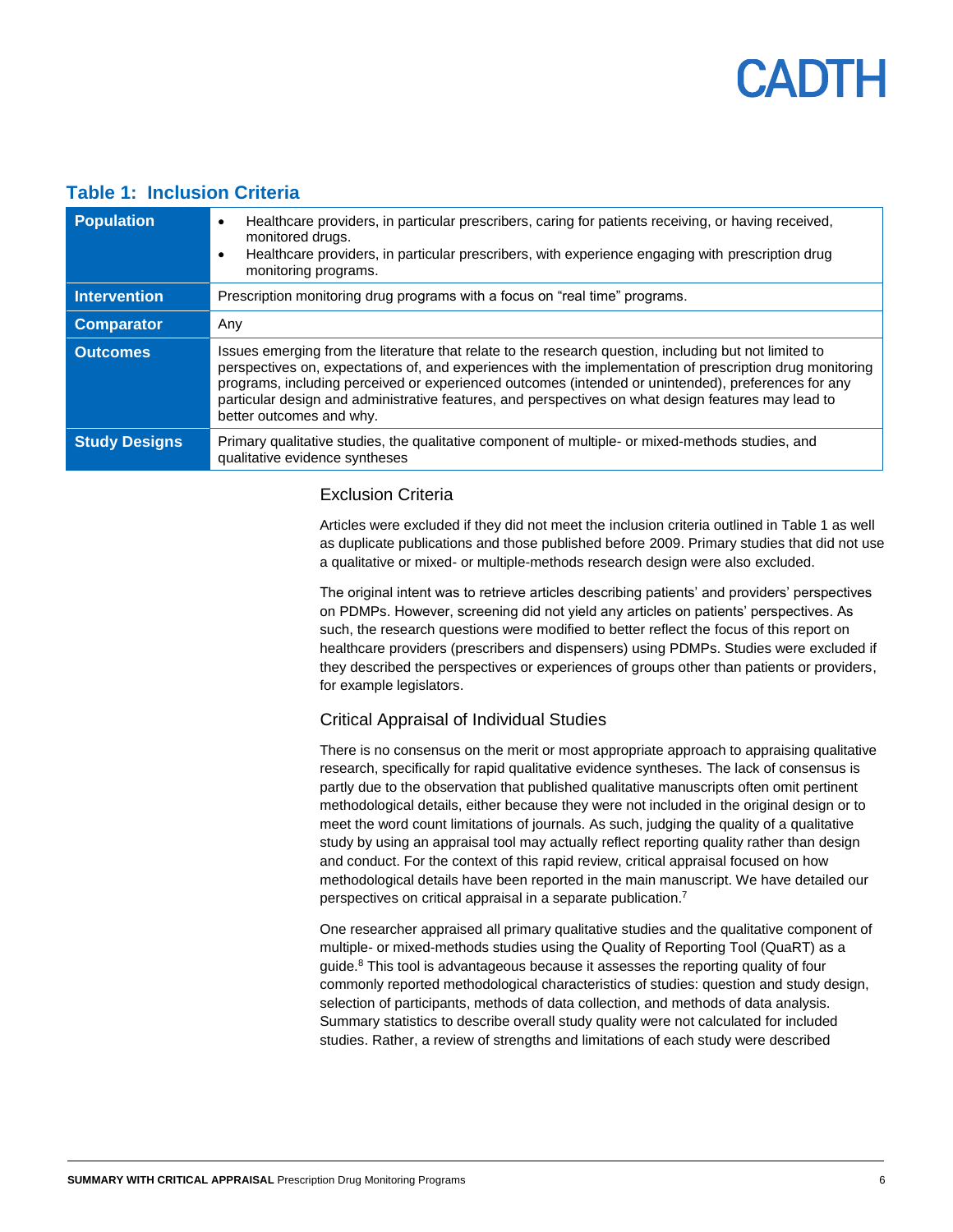#### <span id="page-5-0"></span>**Table 1: Inclusion Criteria**

| <b>Population</b>    | Healthcare providers, in particular prescribers, caring for patients receiving, or having received,<br>$\bullet$<br>monitored drugs.<br>Healthcare providers, in particular prescribers, with experience engaging with prescription drug<br>$\bullet$<br>monitoring programs.                                                                                                                                                                                 |
|----------------------|---------------------------------------------------------------------------------------------------------------------------------------------------------------------------------------------------------------------------------------------------------------------------------------------------------------------------------------------------------------------------------------------------------------------------------------------------------------|
| <b>Intervention</b>  | Prescription monitoring drug programs with a focus on "real time" programs.                                                                                                                                                                                                                                                                                                                                                                                   |
| <b>Comparator</b>    | Any                                                                                                                                                                                                                                                                                                                                                                                                                                                           |
| <b>Outcomes</b>      | Issues emerging from the literature that relate to the research question, including but not limited to<br>perspectives on, expectations of, and experiences with the implementation of prescription drug monitoring<br>programs, including perceived or experienced outcomes (intended or unintended), preferences for any<br>particular design and administrative features, and perspectives on what design features may lead to<br>better outcomes and why. |
| <b>Study Designs</b> | Primary qualitative studies, the qualitative component of multiple- or mixed-methods studies, and<br>qualitative evidence syntheses                                                                                                                                                                                                                                                                                                                           |

#### Exclusion Criteria

Articles were excluded if they did not meet the inclusion criteria outlined in Table 1 as well as duplicate publications and those published before 2009. Primary studies that did not use a qualitative or mixed- or multiple-methods research design were also excluded.

The original intent was to retrieve articles describing patients' and providers' perspectives on PDMPs. However, screening did not yield any articles on patients' perspectives. As such, the research questions were modified to better reflect the focus of this report on healthcare providers (prescribers and dispensers) using PDMPs. Studies were excluded if they described the perspectives or experiences of groups other than patients or providers, for example legislators.

#### Critical Appraisal of Individual Studies

There is no consensus on the merit or most appropriate approach to appraising qualitative research, specifically for rapid qualitative evidence syntheses. The lack of consensus is partly due to the observation that published qualitative manuscripts often omit pertinent methodological details, either because they were not included in the original design or to meet the word count limitations of journals. As such, judging the quality of a qualitative study by using an appraisal tool may actually reflect reporting quality rather than design and conduct. For the context of this rapid review, critical appraisal focused on how methodological details have been reported in the main manuscript. We have detailed our perspectives on critical appraisal in a separate publication. 7

One researcher appraised all primary qualitative studies and the qualitative component of multiple- or mixed-methods studies using the Quality of Reporting Tool (QuaRT) as a guide.<sup>8</sup> This tool is advantageous because it assesses the reporting quality of four commonly reported methodological characteristics of studies: question and study design, selection of participants, methods of data collection, and methods of data analysis. Summary statistics to describe overall study quality were not calculated for included studies. Rather, a review of strengths and limitations of each study were described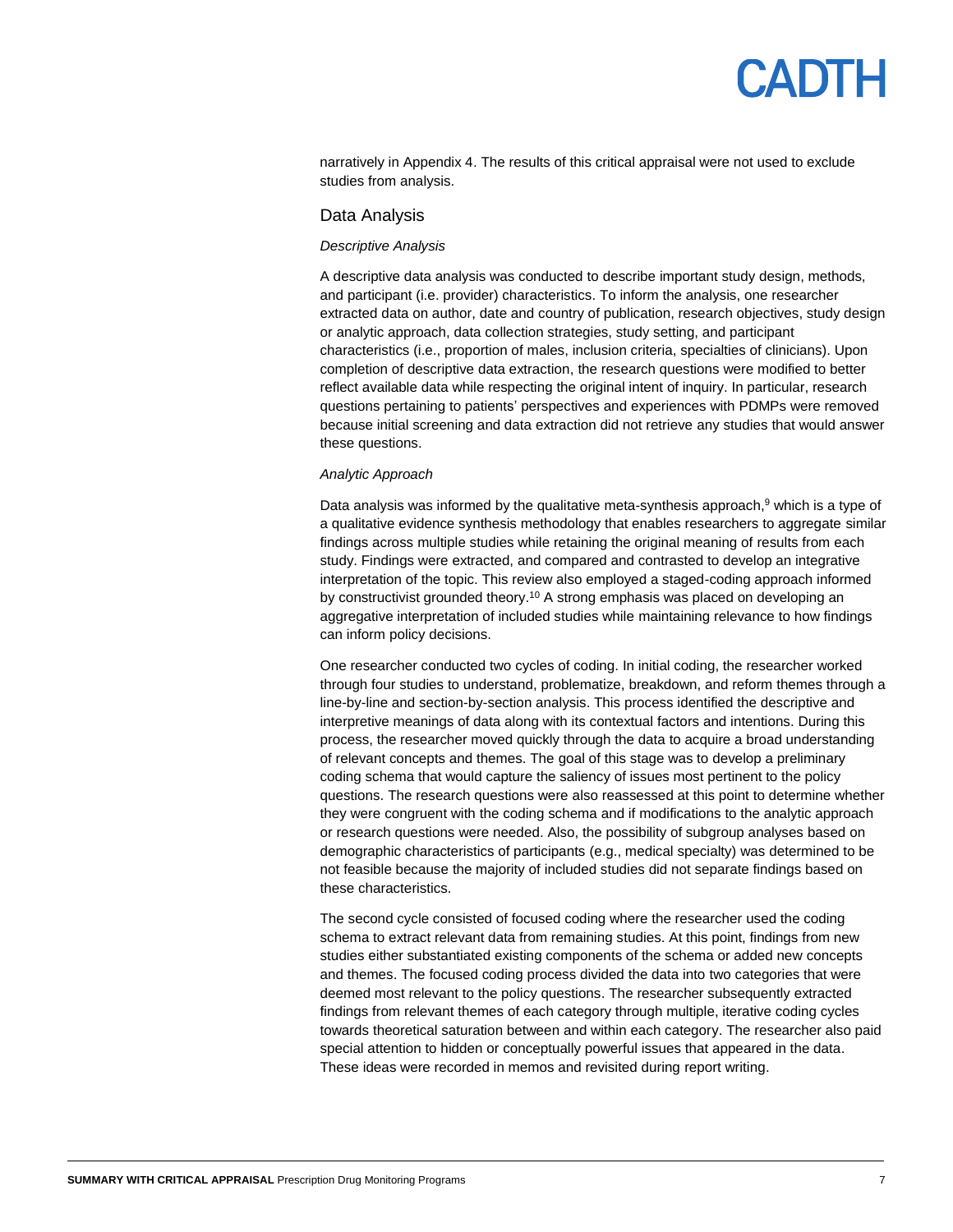narratively in Appendix 4. The results of this critical appraisal were not used to exclude studies from analysis.

#### Data Analysis

#### *Descriptive Analysis*

A descriptive data analysis was conducted to describe important study design, methods, and participant (i.e. provider) characteristics. To inform the analysis, one researcher extracted data on author, date and country of publication, research objectives, study design or analytic approach, data collection strategies, study setting, and participant characteristics (i.e., proportion of males, inclusion criteria, specialties of clinicians). Upon completion of descriptive data extraction, the research questions were modified to better reflect available data while respecting the original intent of inquiry. In particular, research questions pertaining to patients' perspectives and experiences with PDMPs were removed because initial screening and data extraction did not retrieve any studies that would answer these questions.

#### *Analytic Approach*

Data analysis was informed by the qualitative meta-synthesis approach,<sup>9</sup> which is a type of a qualitative evidence synthesis methodology that enables researchers to aggregate similar findings across multiple studies while retaining the original meaning of results from each study. Findings were extracted, and compared and contrasted to develop an integrative interpretation of the topic. This review also employed a staged-coding approach informed by constructivist grounded theory. <sup>10</sup> A strong emphasis was placed on developing an aggregative interpretation of included studies while maintaining relevance to how findings can inform policy decisions.

One researcher conducted two cycles of coding. In initial coding, the researcher worked through four studies to understand, problematize, breakdown, and reform themes through a line-by-line and section-by-section analysis. This process identified the descriptive and interpretive meanings of data along with its contextual factors and intentions. During this process, the researcher moved quickly through the data to acquire a broad understanding of relevant concepts and themes. The goal of this stage was to develop a preliminary coding schema that would capture the saliency of issues most pertinent to the policy questions. The research questions were also reassessed at this point to determine whether they were congruent with the coding schema and if modifications to the analytic approach or research questions were needed. Also, the possibility of subgroup analyses based on demographic characteristics of participants (e.g., medical specialty) was determined to be not feasible because the majority of included studies did not separate findings based on these characteristics.

The second cycle consisted of focused coding where the researcher used the coding schema to extract relevant data from remaining studies. At this point, findings from new studies either substantiated existing components of the schema or added new concepts and themes. The focused coding process divided the data into two categories that were deemed most relevant to the policy questions. The researcher subsequently extracted findings from relevant themes of each category through multiple, iterative coding cycles towards theoretical saturation between and within each category. The researcher also paid special attention to hidden or conceptually powerful issues that appeared in the data. These ideas were recorded in memos and revisited during report writing.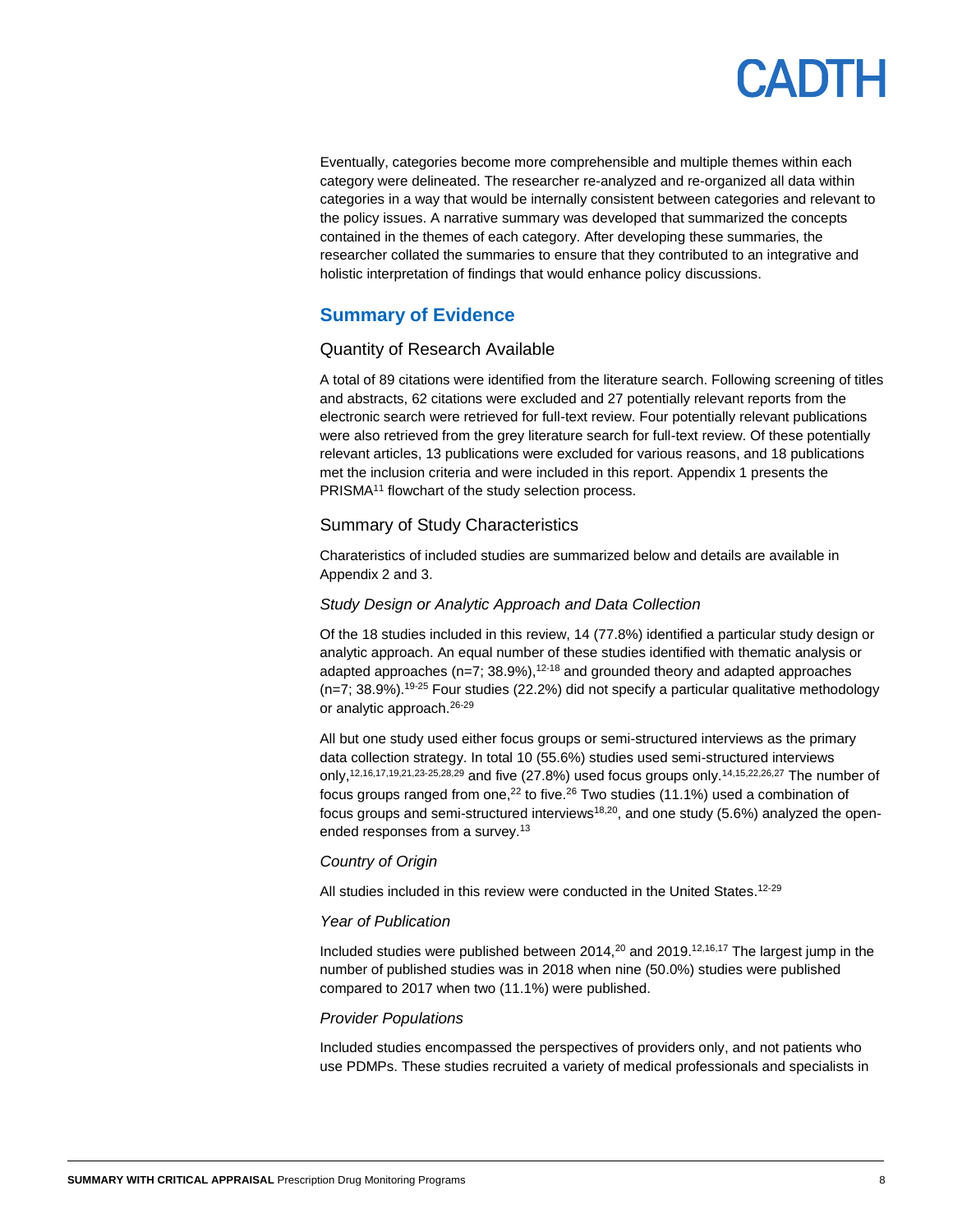

Eventually, categories become more comprehensible and multiple themes within each category were delineated. The researcher re-analyzed and re-organized all data within categories in a way that would be internally consistent between categories and relevant to the policy issues. A narrative summary was developed that summarized the concepts contained in the themes of each category. After developing these summaries, the researcher collated the summaries to ensure that they contributed to an integrative and holistic interpretation of findings that would enhance policy discussions.

### **Summary of Evidence**

#### Quantity of Research Available

A total of 89 citations were identified from the literature search. Following screening of titles and abstracts, 62 citations were excluded and 27 potentially relevant reports from the electronic search were retrieved for full-text review. Four potentially relevant publications were also retrieved from the grey literature search for full-text review. Of these potentially relevant articles, 13 publications were excluded for various reasons, and 18 publications met the inclusion criteria and were included in this report. Appendix 1 presents the PRISMA<sup>11</sup> flowchart of the study selection process.

#### Summary of Study Characteristics

Charateristics of included studies are summarized below and details are available in Appendix 2 and 3.

#### *Study Design or Analytic Approach and Data Collection*

Of the 18 studies included in this review, 14 (77.8%) identified a particular study design or analytic approach. An equal number of these studies identified with thematic analysis or adapted approaches ( $n=7$ ; 38.9%),<sup>12-18</sup> and grounded theory and adapted approaches  $(n=7; 38.9%)$ .<sup>19-25</sup> Four studies (22.2%) did not specify a particular qualitative methodology or analytic approach.<sup>26-29</sup>

All but one study used either focus groups or semi-structured interviews as the primary data collection strategy. In total 10 (55.6%) studies used semi-structured interviews only, 12,16,17,19,21,23-25,28,29 and five (27.8%) used focus groups only.14,15,22,26,27 The number of focus groups ranged from one,<sup>22</sup> to five.<sup>26</sup> Two studies (11.1%) used a combination of focus groups and semi-structured interviews<sup>18,20</sup>, and one study (5.6%) analyzed the openended responses from a survey.<sup>13</sup>

#### *Country of Origin*

All studies included in this review were conducted in the United States.<sup>12-29</sup>

#### *Year of Publication*

Included studies were published between 2014, $20$  and 2019.<sup>12,16,17</sup> The largest jump in the number of published studies was in 2018 when nine (50.0%) studies were published compared to 2017 when two (11.1%) were published.

#### *Provider Populations*

Included studies encompassed the perspectives of providers only, and not patients who use PDMPs. These studies recruited a variety of medical professionals and specialists in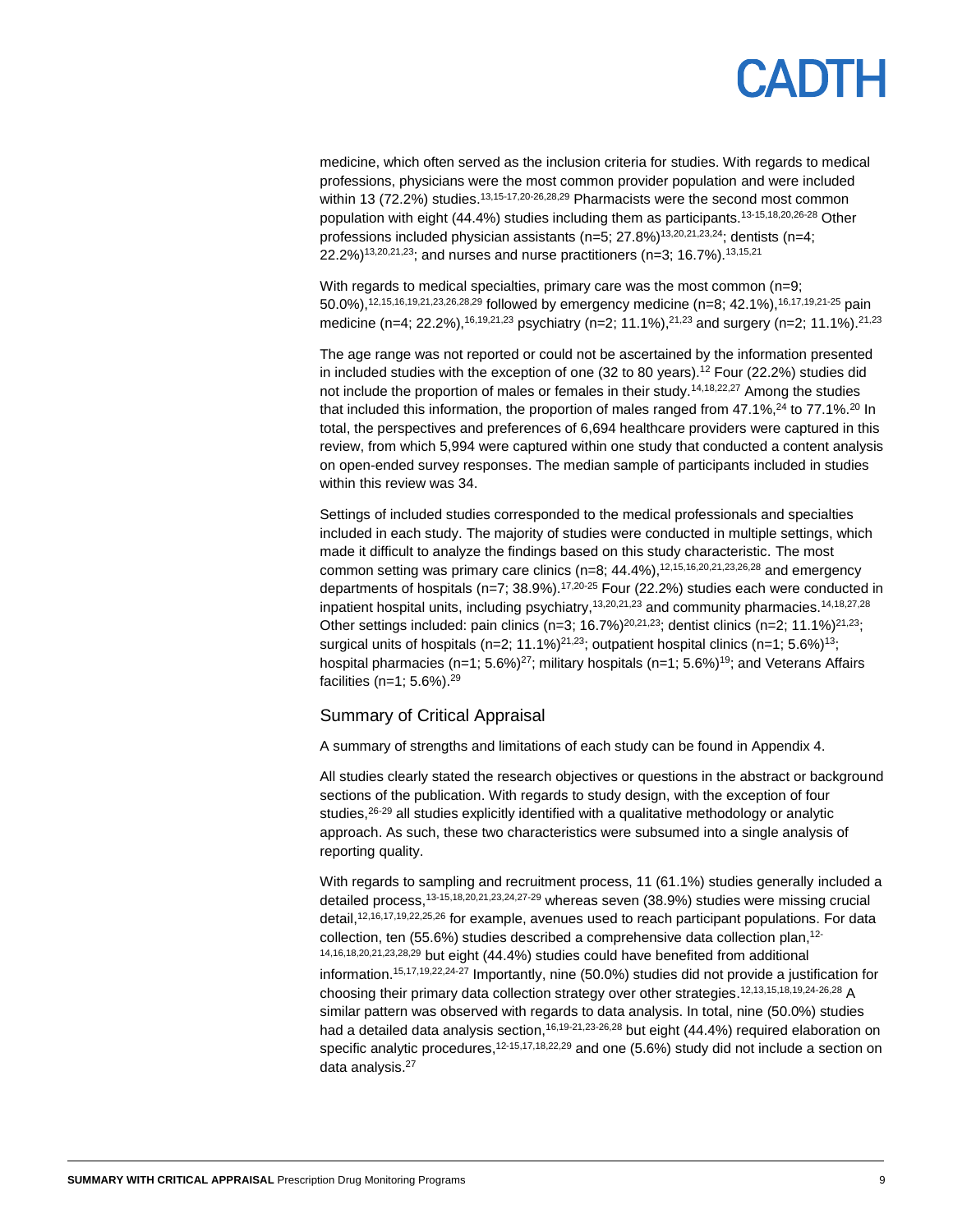# PADTH

medicine, which often served as the inclusion criteria for studies. With regards to medical professions, physicians were the most common provider population and were included within 13 (72.2%) studies.<sup>13,15-17,20-26,28,29</sup> Pharmacists were the second most common population with eight (44.4%) studies including them as participants.13-15,18,20,26-28 Other professions included physician assistants  $(n=5; 27.8\%)$ <sup>13,20,21,23,24</sup>; dentists  $(n=4;$ 22.2%)<sup>13,20,21,23</sup>; and nurses and nurse practitioners (n=3; 16.7%).<sup>13,15,21</sup>

With regards to medical specialties, primary care was the most common (n=9; 50.0%),12,15,16,19,21,23,26,28,29 followed by emergency medicine (n=8; 42.1%),16,17,19,21-25 pain medicine (n=4; 22.2%),<sup>16,19,21,23</sup> psychiatry (n=2; 11.1%),<sup>21,23</sup> and surgery (n=2; 11.1%).<sup>21,23</sup>

The age range was not reported or could not be ascertained by the information presented in included studies with the exception of one (32 to 80 years). <sup>12</sup> Four (22.2%) studies did not include the proportion of males or females in their study.<sup>14,18,22,27</sup> Among the studies that included this information, the proportion of males ranged from  $47.1\%$ ,  $^{24}$  to 77.1%.<sup>20</sup> In total, the perspectives and preferences of 6,694 healthcare providers were captured in this review, from which 5,994 were captured within one study that conducted a content analysis on open-ended survey responses. The median sample of participants included in studies within this review was 34.

Settings of included studies corresponded to the medical professionals and specialties included in each study. The majority of studies were conducted in multiple settings, which made it difficult to analyze the findings based on this study characteristic. The most common setting was primary care clinics (n=8; 44.4%),<sup>12,15,16,20,21,23,26,28</sup> and emergency departments of hospitals (n=7; 38.9%).<sup>17,20-25</sup> Four (22.2%) studies each were conducted in inpatient hospital units, including psychiatry,<sup>13,20,21,23</sup> and community pharmacies.<sup>14,18,27,28</sup> Other settings included: pain clinics (n=3; 16.7%)<sup>20,21,23</sup>; dentist clinics (n=2; 11.1%)<sup>21,23</sup>; surgical units of hospitals (n=2; 11.1%)<sup>21,23</sup>; outpatient hospital clinics (n=1; 5.6%)<sup>13</sup>; hospital pharmacies (n=1;  $5.6\frac{\%}{27}$ ; military hospitals (n=1;  $5.6\frac{\%}{19}$ ; and Veterans Affairs facilities (n=1; 5.6%).<sup>29</sup>

#### Summary of Critical Appraisal

A summary of strengths and limitations of each study can be found in Appendix 4.

All studies clearly stated the research objectives or questions in the abstract or background sections of the publication. With regards to study design, with the exception of four studies, $26-29$  all studies explicitly identified with a qualitative methodology or analytic approach. As such, these two characteristics were subsumed into a single analysis of reporting quality.

With regards to sampling and recruitment process, 11 (61.1%) studies generally included a detailed process,13-15,18,20,21,23,24,27-29 whereas seven (38.9%) studies were missing crucial detail,<sup>12,16,17,19,22,25,26</sup> for example, avenues used to reach participant populations. For data collection, ten (55.6%) studies described a comprehensive data collection plan, 12- 14,16,18,20,21,23,28,29 but eight (44.4%) studies could have benefited from additional information. 15,17,19,22,24-27 Importantly, nine (50.0%) studies did not provide a justification for choosing their primary data collection strategy over other strategies. 12,13,15,18,19,24-26,28 A similar pattern was observed with regards to data analysis. In total, nine (50.0%) studies had a detailed data analysis section, <sup>16,19-21,23-26,28</sup> but eight (44.4%) required elaboration on specific analytic procedures,<sup>12-15,17,18,22,29</sup> and one (5.6%) study did not include a section on data analysis.<sup>27</sup>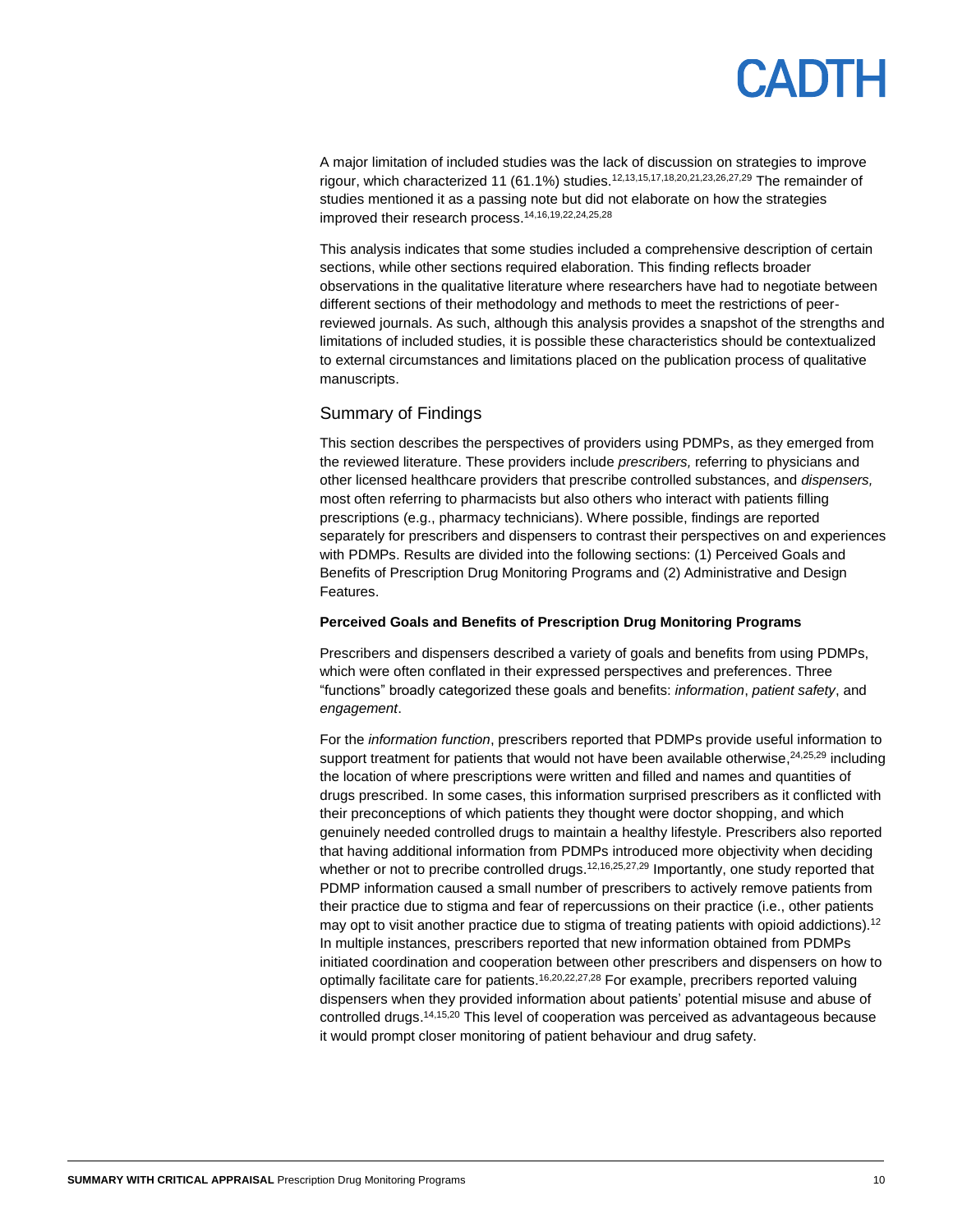A major limitation of included studies was the lack of discussion on strategies to improve rigour, which characterized 11 (61.1%) studies.<sup>12,13,15,17,18,20,21,23,26,27,29</sup> The remainder of studies mentioned it as a passing note but did not elaborate on how the strategies improved their research process. 14,16,19,22,24,25,28

This analysis indicates that some studies included a comprehensive description of certain sections, while other sections required elaboration. This finding reflects broader observations in the qualitative literature where researchers have had to negotiate between different sections of their methodology and methods to meet the restrictions of peerreviewed journals. As such, although this analysis provides a snapshot of the strengths and limitations of included studies, it is possible these characteristics should be contextualized to external circumstances and limitations placed on the publication process of qualitative manuscripts.

#### Summary of Findings

This section describes the perspectives of providers using PDMPs, as they emerged from the reviewed literature. These providers include *prescribers,* referring to physicians and other licensed healthcare providers that prescribe controlled substances, and *dispensers,* most often referring to pharmacists but also others who interact with patients filling prescriptions (e.g., pharmacy technicians). Where possible, findings are reported separately for prescribers and dispensers to contrast their perspectives on and experiences with PDMPs. Results are divided into the following sections: (1) Perceived Goals and Benefits of Prescription Drug Monitoring Programs and (2) Administrative and Design Features.

#### **Perceived Goals and Benefits of Prescription Drug Monitoring Programs**

Prescribers and dispensers described a variety of goals and benefits from using PDMPs, which were often conflated in their expressed perspectives and preferences. Three "functions" broadly categorized these goals and benefits: *information*, *patient safety*, and *engagement*.

For the *information function*, prescribers reported that PDMPs provide useful information to support treatment for patients that would not have been available otherwise,<sup>24,25,29</sup> including the location of where prescriptions were written and filled and names and quantities of drugs prescribed. In some cases, this information surprised prescribers as it conflicted with their preconceptions of which patients they thought were doctor shopping, and which genuinely needed controlled drugs to maintain a healthy lifestyle. Prescribers also reported that having additional information from PDMPs introduced more objectivity when deciding whether or not to precribe controlled drugs.<sup>12,16,25,27,29</sup> Importantly, one study reported that PDMP information caused a small number of prescribers to actively remove patients from their practice due to stigma and fear of repercussions on their practice (i.e., other patients may opt to visit another practice due to stigma of treating patients with opioid addictions).<sup>12</sup> In multiple instances, prescribers reported that new information obtained from PDMPs initiated coordination and cooperation between other prescribers and dispensers on how to optimally facilitate care for patients.<sup>16,20,22,27,28</sup> For example, precribers reported valuing dispensers when they provided information about patients' potential misuse and abuse of controlled drugs. 14,15,20 This level of cooperation was perceived as advantageous because it would prompt closer monitoring of patient behaviour and drug safety.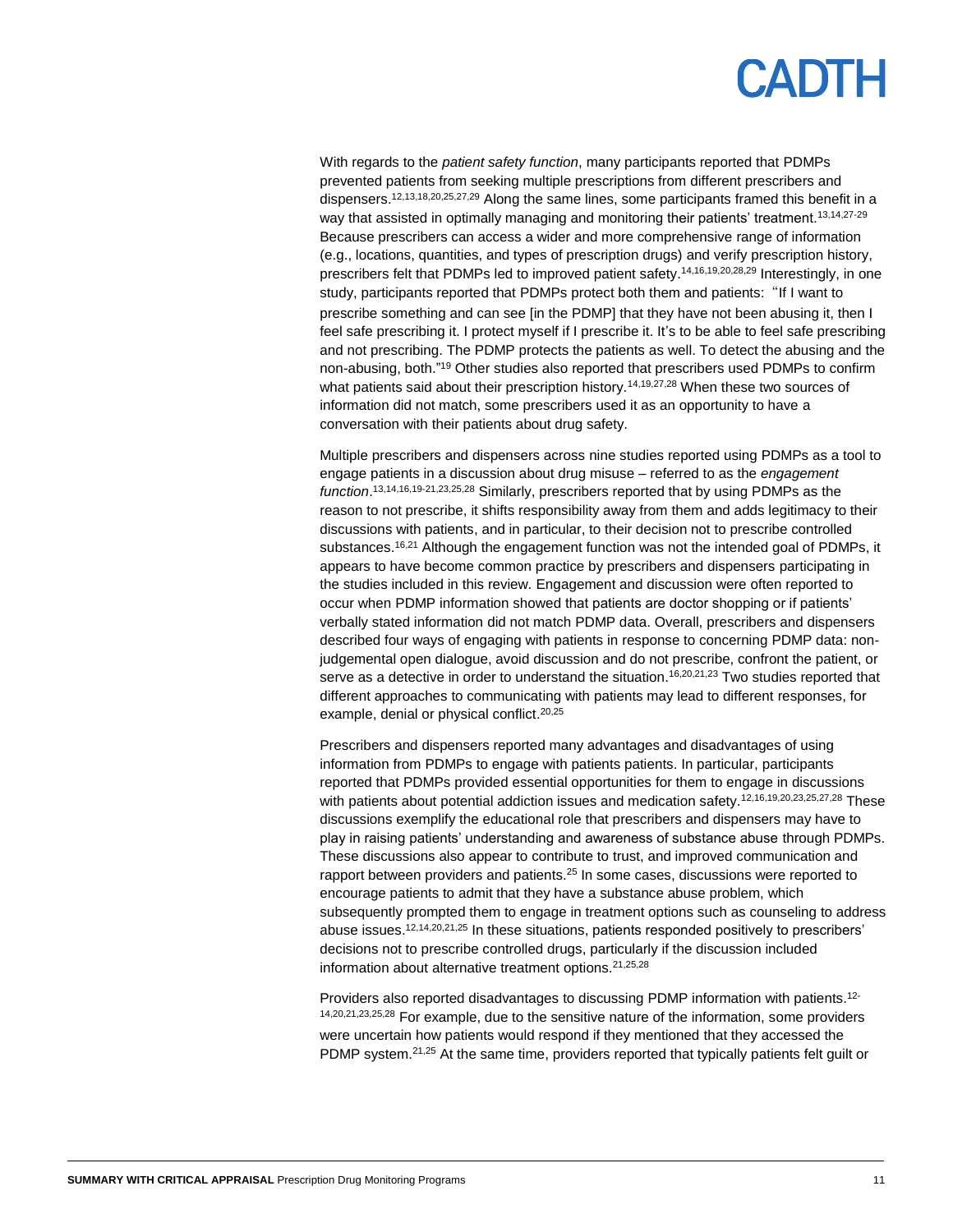

With regards to the *patient safety function*, many participants reported that PDMPs prevented patients from seeking multiple prescriptions from different prescribers and dispensers.<sup>12,13,18,20,25,27,29</sup> Along the same lines, some participants framed this benefit in a way that assisted in optimally managing and monitoring their patients' treatment.<sup>13,14,27-29</sup> Because prescribers can access a wider and more comprehensive range of information (e.g., locations, quantities, and types of prescription drugs) and verify prescription history, prescribers felt that PDMPs led to improved patient safety. 14,16,19,20,28,29 Interestingly, in one study, participants reported that PDMPs protect both them and patients: "If I want to prescribe something and can see [in the PDMP] that they have not been abusing it, then I feel safe prescribing it. I protect myself if I prescribe it. It's to be able to feel safe prescribing and not prescribing. The PDMP protects the patients as well. To detect the abusing and the non-abusing, both." <sup>19</sup> Other studies also reported that prescribers used PDMPs to confirm what patients said about their prescription history.<sup>14,19,27,28</sup> When these two sources of information did not match, some prescribers used it as an opportunity to have a conversation with their patients about drug safety.

Multiple prescribers and dispensers across nine studies reported using PDMPs as a tool to engage patients in a discussion about drug misuse – referred to as the *engagement function*. 13,14,16,19-21,23,25,28 Similarly, prescribers reported that by using PDMPs as the reason to not prescribe, it shifts responsibility away from them and adds legitimacy to their discussions with patients, and in particular, to their decision not to prescribe controlled substances.<sup>16,21</sup> Although the engagement function was not the intended goal of PDMPs, it appears to have become common practice by prescribers and dispensers participating in the studies included in this review. Engagement and discussion were often reported to occur when PDMP information showed that patients are doctor shopping or if patients' verbally stated information did not match PDMP data. Overall, prescribers and dispensers described four ways of engaging with patients in response to concerning PDMP data: nonjudgemental open dialogue, avoid discussion and do not prescribe, confront the patient, or serve as a detective in order to understand the situation.<sup>16,20,21,23</sup> Two studies reported that different approaches to communicating with patients may lead to different responses, for example, denial or physical conflict.<sup>20,25</sup>

Prescribers and dispensers reported many advantages and disadvantages of using information from PDMPs to engage with patients patients. In particular, participants reported that PDMPs provided essential opportunities for them to engage in discussions with patients about potential addiction issues and medication safety.<sup>12,16,19,20,23,25,27,28</sup> These discussions exemplify the educational role that prescribers and dispensers may have to play in raising patients' understanding and awareness of substance abuse through PDMPs. These discussions also appear to contribute to trust, and improved communication and rapport between providers and patients.<sup>25</sup> In some cases, discussions were reported to encourage patients to admit that they have a substance abuse problem, which subsequently prompted them to engage in treatment options such as counseling to address abuse issues.<sup>12,14,20,21,25</sup> In these situations, patients responded positively to prescribers' decisions not to prescribe controlled drugs, particularly if the discussion included information about alternative treatment options.21,25,28

Providers also reported disadvantages to discussing PDMP information with patients.<sup>12-</sup> 14,20,21,23,25,28 For example, due to the sensitive nature of the information, some providers were uncertain how patients would respond if they mentioned that they accessed the PDMP system.<sup>21,25</sup> At the same time, providers reported that typically patients felt guilt or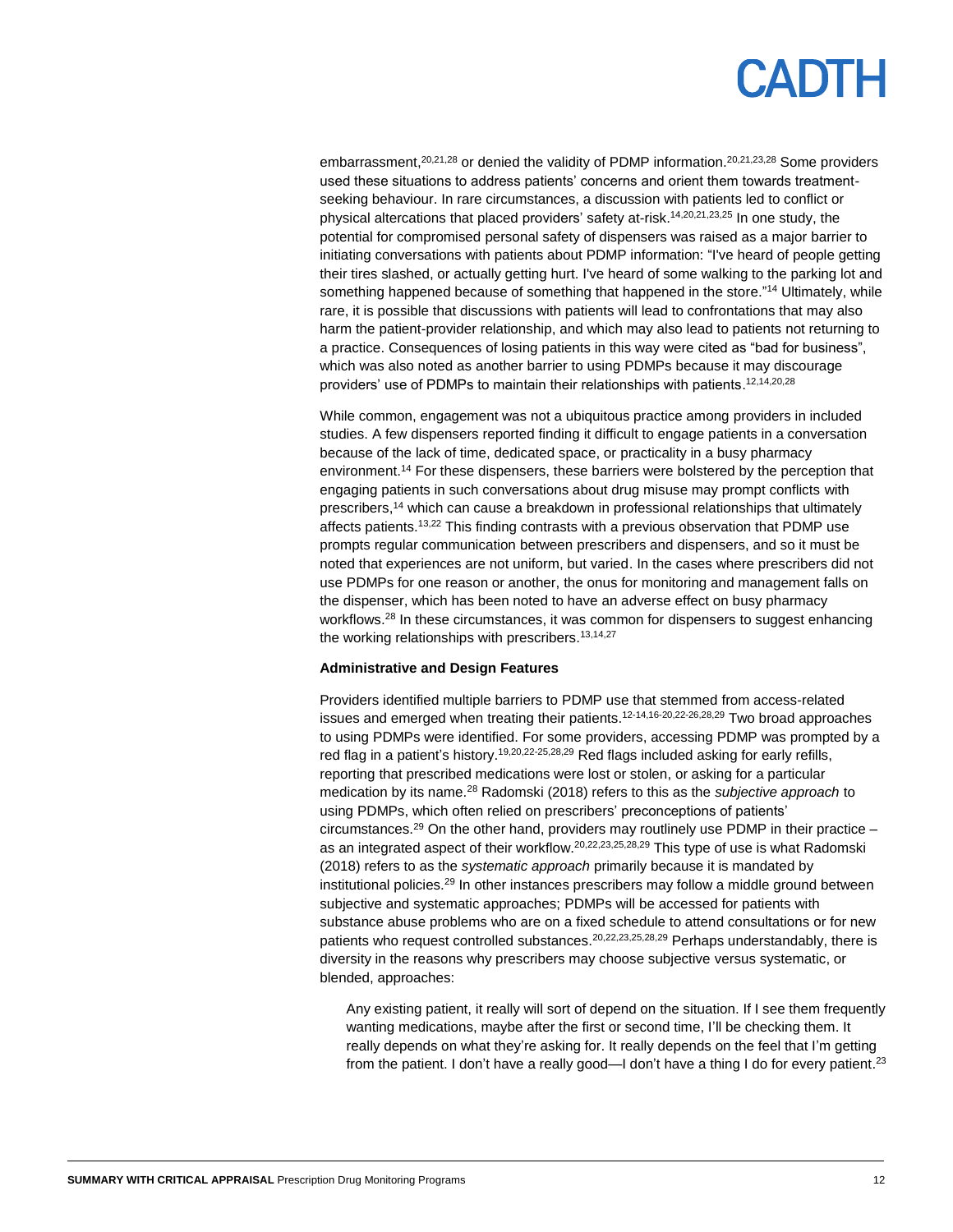embarrassment,<sup>20,21,28</sup> or denied the validity of PDMP information.<sup>20,21,23,28</sup> Some providers used these situations to address patients' concerns and orient them towards treatmentseeking behaviour. In rare circumstances, a discussion with patients led to conflict or physical altercations that placed providers' safety at-risk. 14,20,21,23,25 In one study, the potential for compromised personal safety of dispensers was raised as a major barrier to initiating conversations with patients about PDMP information: "I've heard of people getting their tires slashed, or actually getting hurt. I've heard of some walking to the parking lot and something happened because of something that happened in the store."<sup>14</sup> Ultimately, while rare, it is possible that discussions with patients will lead to confrontations that may also harm the patient-provider relationship, and which may also lead to patients not returning to a practice. Consequences of losing patients in this way were cited as "bad for business", which was also noted as another barrier to using PDMPs because it may discourage providers' use of PDMPs to maintain their relationships with patients. 12,14,20,28

While common, engagement was not a ubiquitous practice among providers in included studies. A few dispensers reported finding it difficult to engage patients in a conversation because of the lack of time, dedicated space, or practicality in a busy pharmacy environment.<sup>14</sup> For these dispensers, these barriers were bolstered by the perception that engaging patients in such conversations about drug misuse may prompt conflicts with prescribers, <sup>14</sup> which can cause a breakdown in professional relationships that ultimately affects patients.<sup>13,22</sup> This finding contrasts with a previous observation that PDMP use prompts regular communication between prescribers and dispensers, and so it must be noted that experiences are not uniform, but varied. In the cases where prescribers did not use PDMPs for one reason or another, the onus for monitoring and management falls on the dispenser, which has been noted to have an adverse effect on busy pharmacy workflows.<sup>28</sup> In these circumstances, it was common for dispensers to suggest enhancing the working relationships with prescribers.<sup>13,14,27</sup>

#### **Administrative and Design Features**

Providers identified multiple barriers to PDMP use that stemmed from access-related issues and emerged when treating their patients.<sup>12-14,16-20,22-26,28,29</sup> Two broad approaches to using PDMPs were identified. For some providers, accessing PDMP was prompted by a red flag in a patient's history.<sup>19,20,22-25,28,29</sup> Red flags included asking for early refills, reporting that prescribed medications were lost or stolen, or asking for a particular medication by its name.<sup>28</sup> Radomski (2018) refers to this as the *subjective approach* to using PDMPs, which often relied on prescribers' preconceptions of patients' circumstances.<sup>29</sup> On the other hand, providers may routlinely use PDMP in their practice  $$ as an integrated aspect of their workflow.<sup>20,22,23,25,28,29</sup> This type of use is what Radomski (2018) refers to as the *systematic approach* primarily because it is mandated by institutional policies.<sup>29</sup> In other instances prescribers may follow a middle ground between subjective and systematic approaches; PDMPs will be accessed for patients with substance abuse problems who are on a fixed schedule to attend consultations or for new patients who request controlled substances.<sup>20,22,23,25,28,29</sup> Perhaps understandably, there is diversity in the reasons why prescribers may choose subjective versus systematic, or blended, approaches:

Any existing patient, it really will sort of depend on the situation. If I see them frequently wanting medications, maybe after the first or second time, I'll be checking them. It really depends on what they're asking for. It really depends on the feel that I'm getting from the patient. I don't have a really good—I don't have a thing I do for every patient.<sup>23</sup>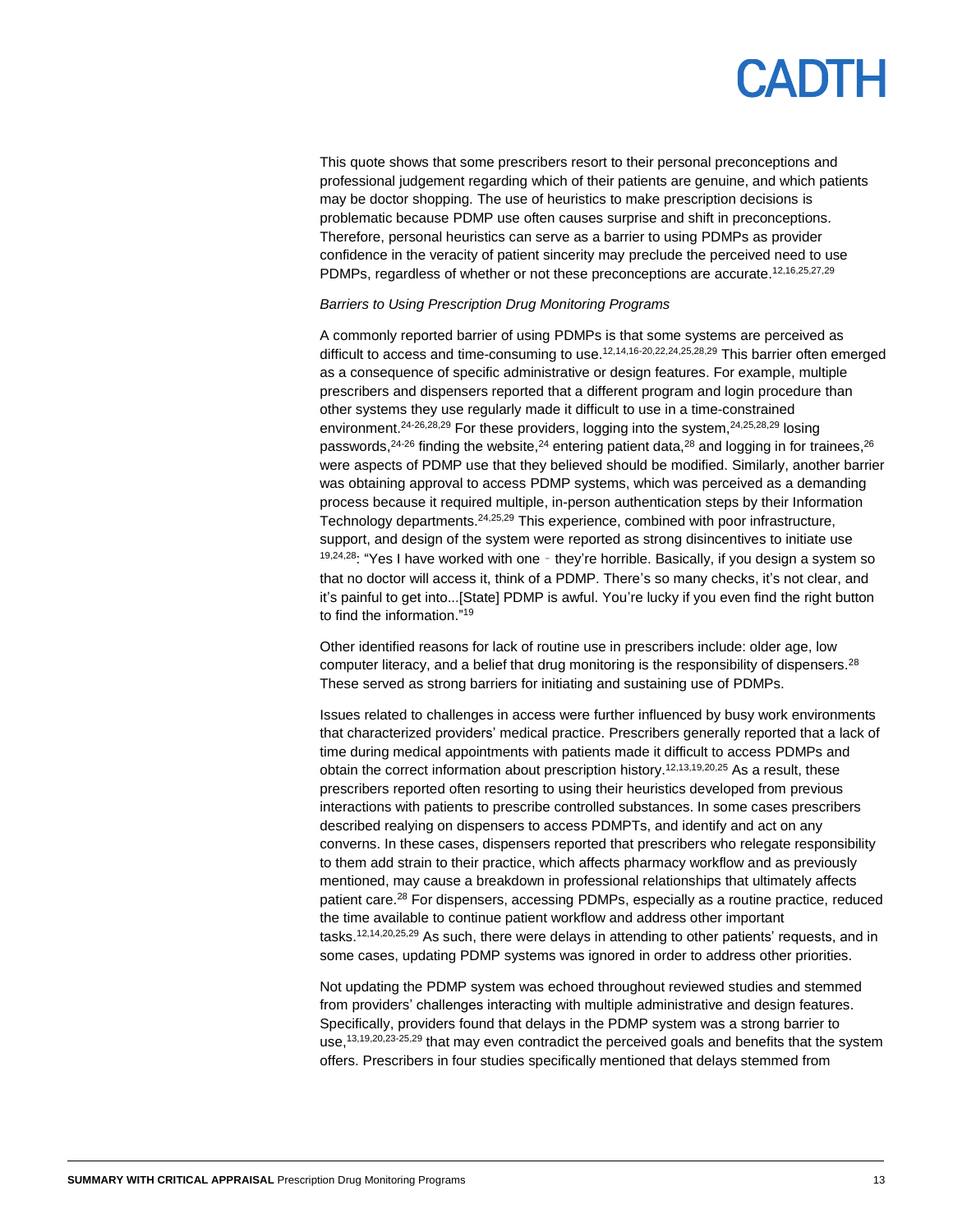### PANTE

This quote shows that some prescribers resort to their personal preconceptions and professional judgement regarding which of their patients are genuine, and which patients may be doctor shopping. The use of heuristics to make prescription decisions is problematic because PDMP use often causes surprise and shift in preconceptions. Therefore, personal heuristics can serve as a barrier to using PDMPs as provider confidence in the veracity of patient sincerity may preclude the perceived need to use PDMPs, regardless of whether or not these preconceptions are accurate.<sup>12,16,25,27,29</sup>

#### *Barriers to Using Prescription Drug Monitoring Programs*

A commonly reported barrier of using PDMPs is that some systems are perceived as difficult to access and time-consuming to use.<sup>12,14,16-20,22,24,25,28,29</sup> This barrier often emerged as a consequence of specific administrative or design features. For example, multiple prescribers and dispensers reported that a different program and login procedure than other systems they use regularly made it difficult to use in a time-constrained environment.<sup>24-26,28,29</sup> For these providers, logging into the system,  $24,25,28,29$  losing passwords,<sup>24-26</sup> finding the website,<sup>24</sup> entering patient data,<sup>28</sup> and logging in for trainees,<sup>26</sup> were aspects of PDMP use that they believed should be modified. Similarly, another barrier was obtaining approval to access PDMP systems, which was perceived as a demanding process because it required multiple, in-person authentication steps by their Information Technology departments.<sup>24,25,29</sup> This experience, combined with poor infrastructure, support, and design of the system were reported as strong disincentives to initiate use  $19,24,28$ : "Yes I have worked with one - they're horrible. Basically, if you design a system so that no doctor will access it, think of a PDMP. There's so many checks, it's not clear, and it's painful to get into...[State] PDMP is awful. You're lucky if you even find the right button to find the information."<sup>19</sup>

Other identified reasons for lack of routine use in prescribers include: older age, low computer literacy, and a belief that drug monitoring is the responsibility of dispensers.<sup>28</sup> These served as strong barriers for initiating and sustaining use of PDMPs.

Issues related to challenges in access were further influenced by busy work environments that characterized providers' medical practice. Prescribers generally reported that a lack of time during medical appointments with patients made it difficult to access PDMPs and obtain the correct information about prescription history. 12,13,19,20,25 As a result, these prescribers reported often resorting to using their heuristics developed from previous interactions with patients to prescribe controlled substances. In some cases prescribers described realying on dispensers to access PDMPTs, and identify and act on any converns. In these cases, dispensers reported that prescribers who relegate responsibility to them add strain to their practice, which affects pharmacy workflow and as previously mentioned, may cause a breakdown in professional relationships that ultimately affects patient care.<sup>28</sup> For dispensers, accessing PDMPs, especially as a routine practice, reduced the time available to continue patient workflow and address other important tasks.12,14,20,25,29 As such, there were delays in attending to other patients' requests, and in some cases, updating PDMP systems was ignored in order to address other priorities.

Not updating the PDMP system was echoed throughout reviewed studies and stemmed from providers' challenges interacting with multiple administrative and design features. Specifically, providers found that delays in the PDMP system was a strong barrier to use,<sup>13,19,20,23-25,29</sup> that may even contradict the perceived goals and benefits that the system offers. Prescribers in four studies specifically mentioned that delays stemmed from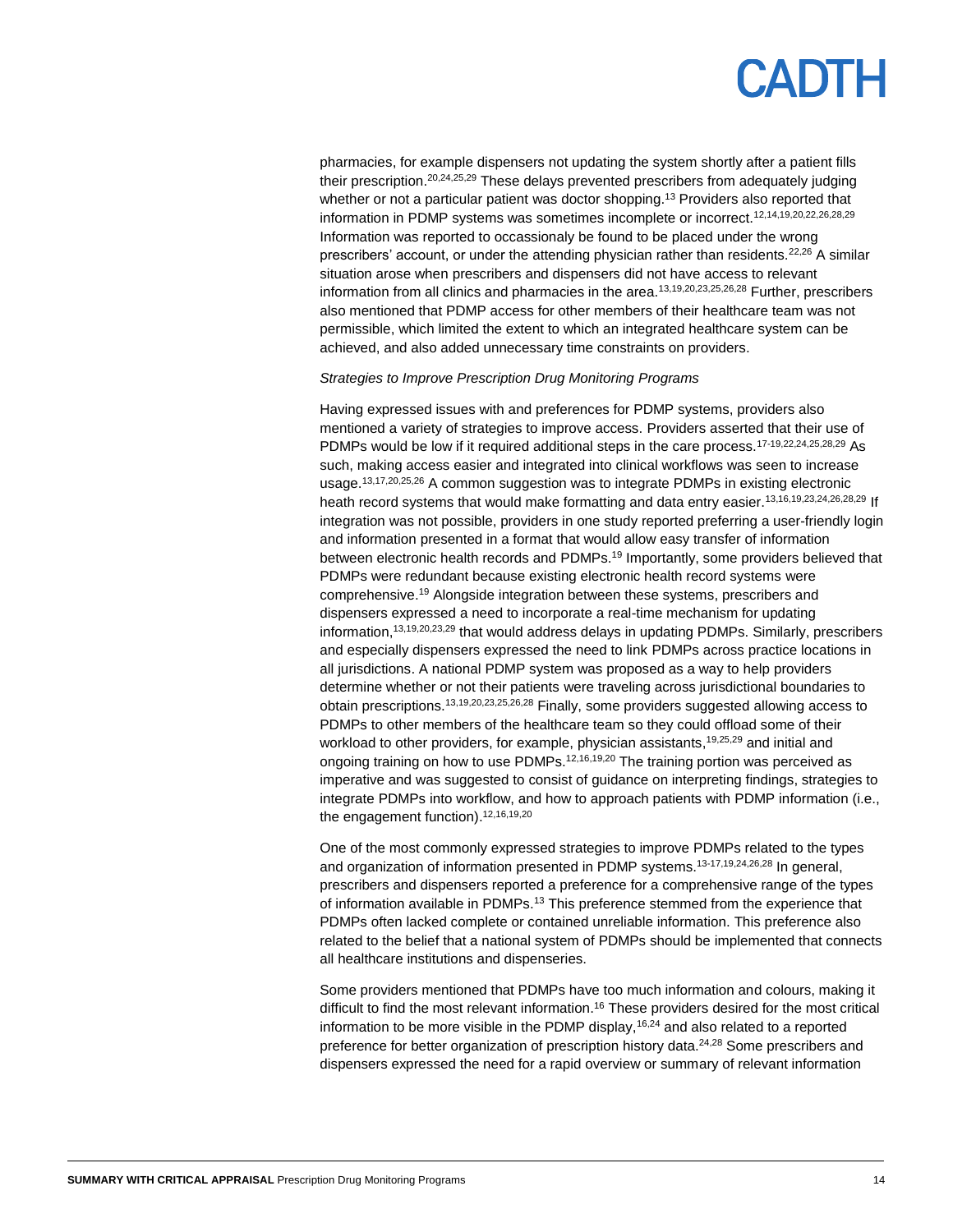

pharmacies, for example dispensers not updating the system shortly after a patient fills their prescription.<sup>20,24,25,29</sup> These delays prevented prescribers from adequately judging whether or not a particular patient was doctor shopping.<sup>13</sup> Providers also reported that information in PDMP systems was sometimes incomplete or incorrect.<sup>12,14,19,20,22,26,28,29</sup> Information was reported to occassionaly be found to be placed under the wrong prescribers' account, or under the attending physician rather than residents.<sup>22,26</sup> A similar situation arose when prescribers and dispensers did not have access to relevant information from all clinics and pharmacies in the area.13,19,20,23,25,26,28 Further, prescribers also mentioned that PDMP access for other members of their healthcare team was not permissible, which limited the extent to which an integrated healthcare system can be achieved, and also added unnecessary time constraints on providers.

#### *Strategies to Improve Prescription Drug Monitoring Programs*

Having expressed issues with and preferences for PDMP systems, providers also mentioned a variety of strategies to improve access. Providers asserted that their use of PDMPs would be low if it required additional steps in the care process.<sup>17-19,22,24,25,28,29</sup> As such, making access easier and integrated into clinical workflows was seen to increase usage.<sup>13,17,20,25,26</sup> A common suggestion was to integrate PDMPs in existing electronic heath record systems that would make formatting and data entry easier.<sup>13,16,19,23,24,26,28,29</sup> If integration was not possible, providers in one study reported preferring a user-friendly login and information presented in a format that would allow easy transfer of information between electronic health records and PDMPs.<sup>19</sup> Importantly, some providers believed that PDMPs were redundant because existing electronic health record systems were comprehensive. <sup>19</sup> Alongside integration between these systems, prescribers and dispensers expressed a need to incorporate a real-time mechanism for updating information, 13,19,20,23,29 that would address delays in updating PDMPs. Similarly, prescribers and especially dispensers expressed the need to link PDMPs across practice locations in all jurisdictions. A national PDMP system was proposed as a way to help providers determine whether or not their patients were traveling across jurisdictional boundaries to obtain prescriptions.13,19,20,23,25,26,28 Finally, some providers suggested allowing access to PDMPs to other members of the healthcare team so they could offload some of their workload to other providers, for example, physician assistants, 19,25,29 and initial and ongoing training on how to use PDMPs.<sup>12,16,19,20</sup> The training portion was perceived as imperative and was suggested to consist of guidance on interpreting findings, strategies to integrate PDMPs into workflow, and how to approach patients with PDMP information (i.e., the engagement function).<sup>12,16,19,20</sup>

One of the most commonly expressed strategies to improve PDMPs related to the types and organization of information presented in PDMP systems. 13-17,19,24,26,28 In general, prescribers and dispensers reported a preference for a comprehensive range of the types of information available in PDMPs.<sup>13</sup> This preference stemmed from the experience that PDMPs often lacked complete or contained unreliable information. This preference also related to the belief that a national system of PDMPs should be implemented that connects all healthcare institutions and dispenseries.

Some providers mentioned that PDMPs have too much information and colours, making it difficult to find the most relevant information. <sup>16</sup> These providers desired for the most critical information to be more visible in the PDMP display,  $16,24$  and also related to a reported preference for better organization of prescription history data.<sup>24,28</sup> Some prescribers and dispensers expressed the need for a rapid overview or summary of relevant information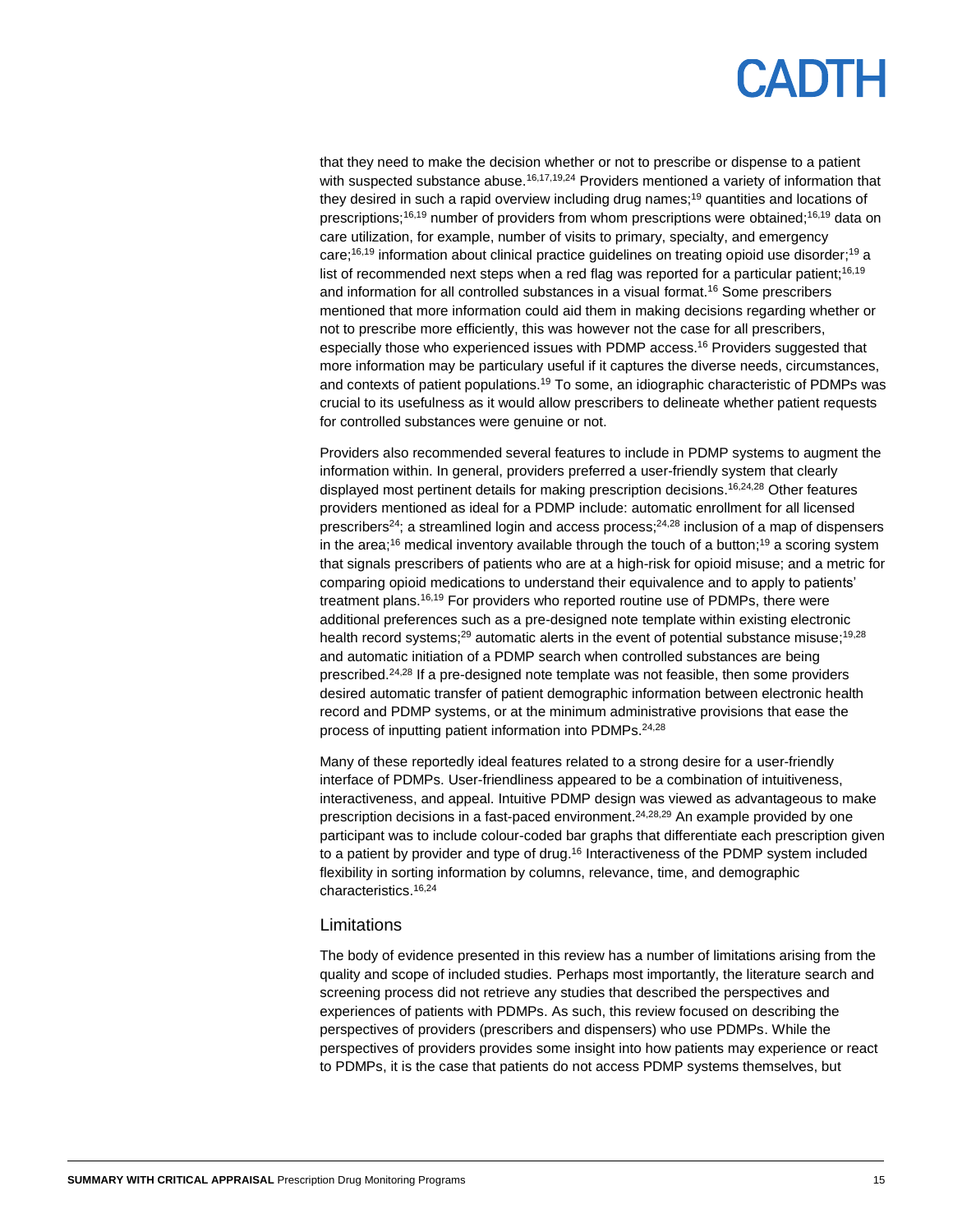## **PADTH**

that they need to make the decision whether or not to prescribe or dispense to a patient with suspected substance abuse.<sup>16,17,19,24</sup> Providers mentioned a variety of information that they desired in such a rapid overview including drug names; <sup>19</sup> quantities and locations of prescriptions;<sup>16,19</sup> number of providers from whom prescriptions were obtained;<sup>16,19</sup> data on care utilization, for example, number of visits to primary, specialty, and emergency care;<sup>16,19</sup> information about clinical practice guidelines on treating opioid use disorder;<sup>19</sup> a list of recommended next steps when a red flag was reported for a particular patient;<sup>16,19</sup> and information for all controlled substances in a visual format. <sup>16</sup> Some prescribers mentioned that more information could aid them in making decisions regarding whether or not to prescribe more efficiently, this was however not the case for all prescribers, especially those who experienced issues with PDMP access.<sup>16</sup> Providers suggested that more information may be particulary useful if it captures the diverse needs, circumstances, and contexts of patient populations.<sup>19</sup> To some, an idiographic characteristic of PDMPs was crucial to its usefulness as it would allow prescribers to delineate whether patient requests for controlled substances were genuine or not.

Providers also recommended several features to include in PDMP systems to augment the information within. In general, providers preferred a user-friendly system that clearly displayed most pertinent details for making prescription decisions. 16,24,28 Other features providers mentioned as ideal for a PDMP include: automatic enrollment for all licensed prescribers<sup>24</sup>; a streamlined login and access process;<sup>24,28</sup> inclusion of a map of dispensers in the area;<sup>16</sup> medical inventory available through the touch of a button;<sup>19</sup> a scoring system that signals prescribers of patients who are at a high-risk for opioid misuse; and a metric for comparing opioid medications to understand their equivalence and to apply to patients' treatment plans.<sup>16,19</sup> For providers who reported routine use of PDMPs, there were additional preferences such as a pre-designed note template within existing electronic health record systems;<sup>29</sup> automatic alerts in the event of potential substance misuse;<sup>19,28</sup> and automatic initiation of a PDMP search when controlled substances are being prescribed.<sup>24,28</sup> If a pre-designed note template was not feasible, then some providers desired automatic transfer of patient demographic information between electronic health record and PDMP systems, or at the minimum administrative provisions that ease the process of inputting patient information into PDMPs. 24,28

Many of these reportedly ideal features related to a strong desire for a user-friendly interface of PDMPs. User-friendliness appeared to be a combination of intuitiveness, interactiveness, and appeal. Intuitive PDMP design was viewed as advantageous to make prescription decisions in a fast-paced environment.<sup>24,28,29</sup> An example provided by one participant was to include colour-coded bar graphs that differentiate each prescription given to a patient by provider and type of drug.<sup>16</sup> Interactiveness of the PDMP system included flexibility in sorting information by columns, relevance, time, and demographic characteristics. 16,24

#### **Limitations**

The body of evidence presented in this review has a number of limitations arising from the quality and scope of included studies. Perhaps most importantly, the literature search and screening process did not retrieve any studies that described the perspectives and experiences of patients with PDMPs. As such, this review focused on describing the perspectives of providers (prescribers and dispensers) who use PDMPs. While the perspectives of providers provides some insight into how patients may experience or react to PDMPs, it is the case that patients do not access PDMP systems themselves, but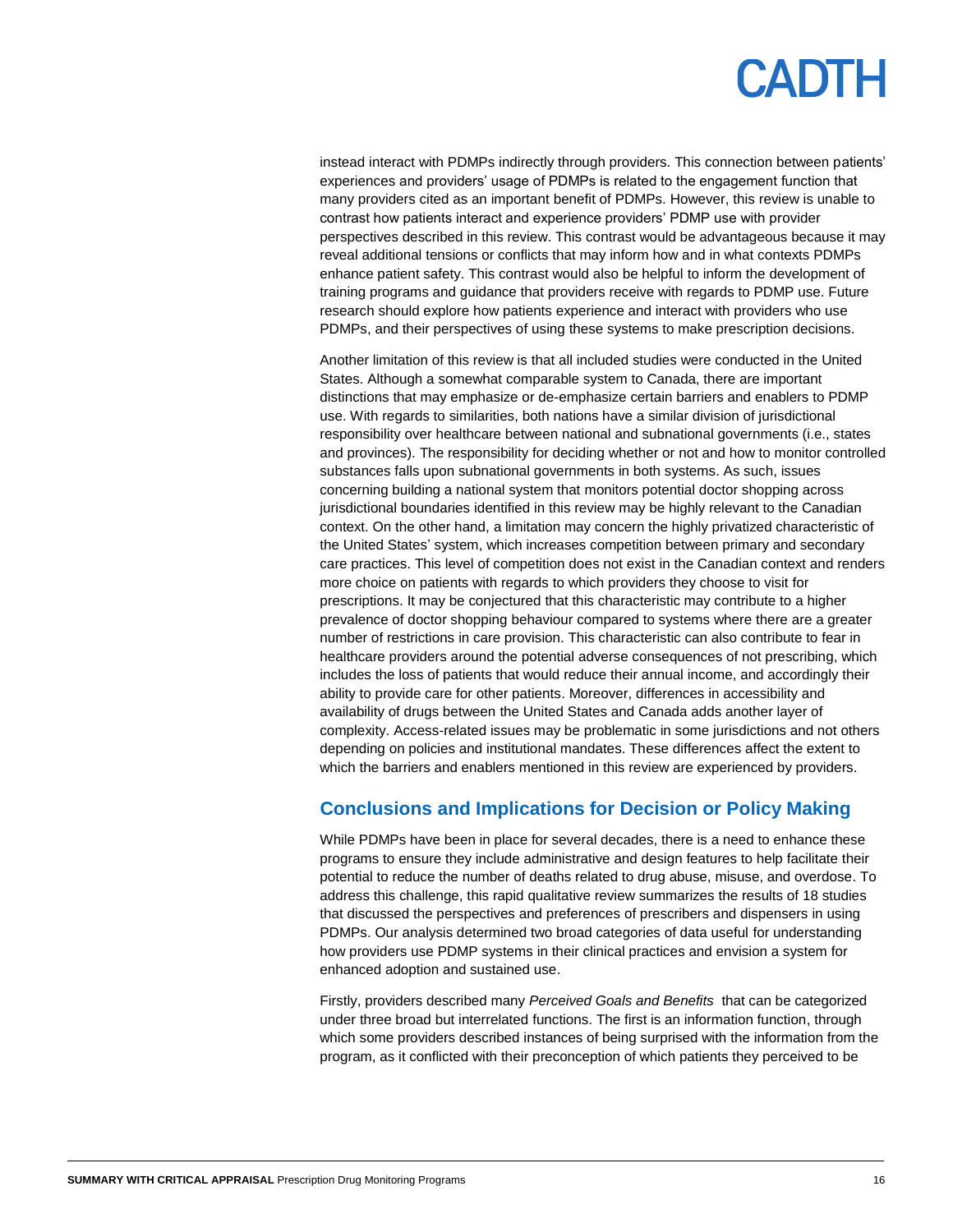instead interact with PDMPs indirectly through providers. This connection between patients' experiences and providers' usage of PDMPs is related to the engagement function that many providers cited as an important benefit of PDMPs. However, this review is unable to contrast how patients interact and experience providers' PDMP use with provider perspectives described in this review. This contrast would be advantageous because it may reveal additional tensions or conflicts that may inform how and in what contexts PDMPs enhance patient safety. This contrast would also be helpful to inform the development of training programs and guidance that providers receive with regards to PDMP use. Future research should explore how patients experience and interact with providers who use PDMPs, and their perspectives of using these systems to make prescription decisions.

Another limitation of this review is that all included studies were conducted in the United States. Although a somewhat comparable system to Canada, there are important distinctions that may emphasize or de-emphasize certain barriers and enablers to PDMP use. With regards to similarities, both nations have a similar division of jurisdictional responsibility over healthcare between national and subnational governments (i.e., states and provinces). The responsibility for deciding whether or not and how to monitor controlled substances falls upon subnational governments in both systems. As such, issues concerning building a national system that monitors potential doctor shopping across jurisdictional boundaries identified in this review may be highly relevant to the Canadian context. On the other hand, a limitation may concern the highly privatized characteristic of the United States' system, which increases competition between primary and secondary care practices. This level of competition does not exist in the Canadian context and renders more choice on patients with regards to which providers they choose to visit for prescriptions. It may be conjectured that this characteristic may contribute to a higher prevalence of doctor shopping behaviour compared to systems where there are a greater number of restrictions in care provision. This characteristic can also contribute to fear in healthcare providers around the potential adverse consequences of not prescribing, which includes the loss of patients that would reduce their annual income, and accordingly their ability to provide care for other patients. Moreover, differences in accessibility and availability of drugs between the United States and Canada adds another layer of complexity. Access-related issues may be problematic in some jurisdictions and not others depending on policies and institutional mandates. These differences affect the extent to which the barriers and enablers mentioned in this review are experienced by providers.

### **Conclusions and Implications for Decision or Policy Making**

While PDMPs have been in place for several decades, there is a need to enhance these programs to ensure they include administrative and design features to help facilitate their potential to reduce the number of deaths related to drug abuse, misuse, and overdose. To address this challenge, this rapid qualitative review summarizes the results of 18 studies that discussed the perspectives and preferences of prescribers and dispensers in using PDMPs. Our analysis determined two broad categories of data useful for understanding how providers use PDMP systems in their clinical practices and envision a system for enhanced adoption and sustained use.

Firstly, providers described many *Perceived Goals and Benefits* that can be categorized under three broad but interrelated functions. The first is an information function, through which some providers described instances of being surprised with the information from the program, as it conflicted with their preconception of which patients they perceived to be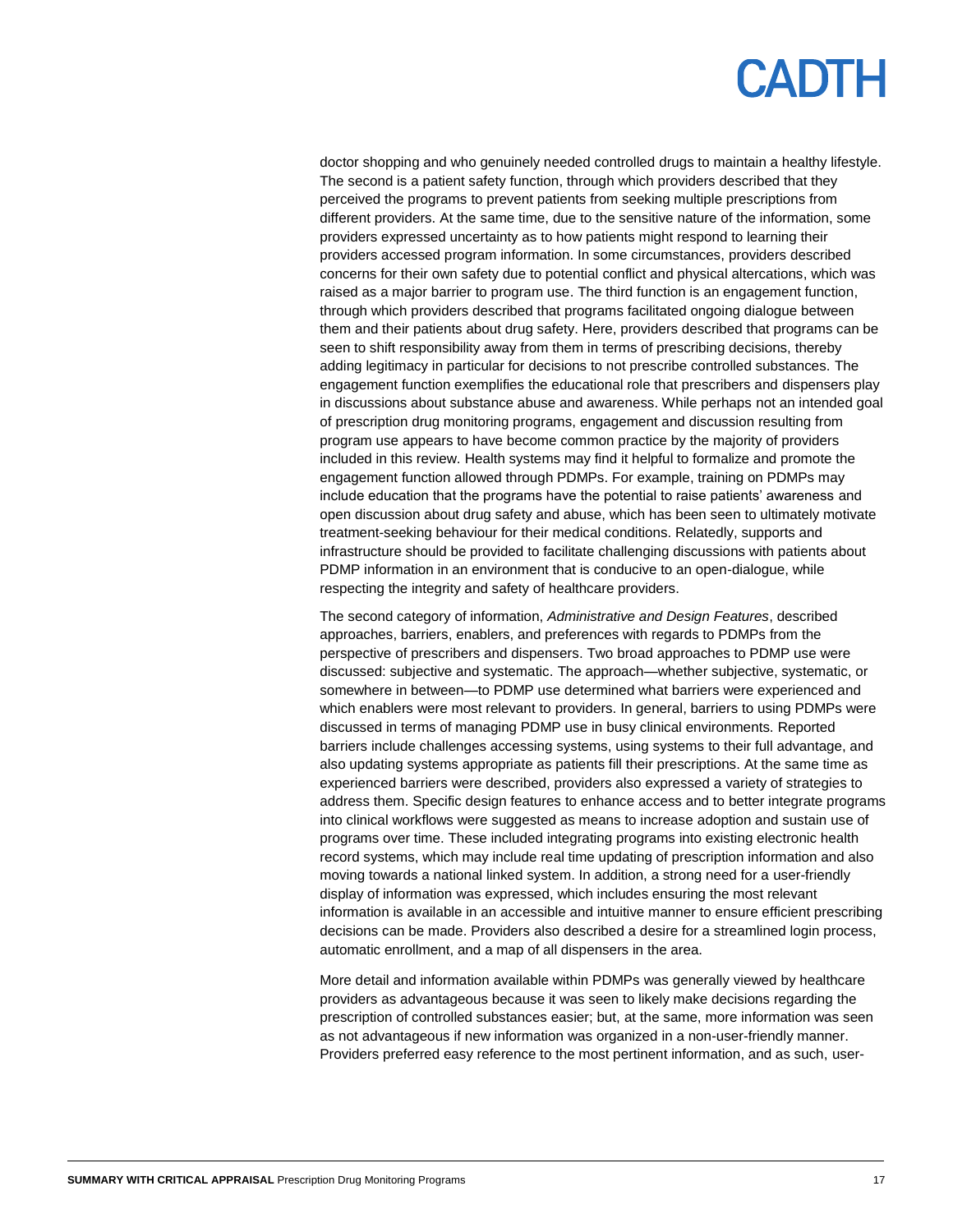doctor shopping and who genuinely needed controlled drugs to maintain a healthy lifestyle. The second is a patient safety function, through which providers described that they perceived the programs to prevent patients from seeking multiple prescriptions from different providers. At the same time, due to the sensitive nature of the information, some providers expressed uncertainty as to how patients might respond to learning their providers accessed program information. In some circumstances, providers described concerns for their own safety due to potential conflict and physical altercations, which was raised as a major barrier to program use. The third function is an engagement function, through which providers described that programs facilitated ongoing dialogue between them and their patients about drug safety. Here, providers described that programs can be seen to shift responsibility away from them in terms of prescribing decisions, thereby adding legitimacy in particular for decisions to not prescribe controlled substances. The engagement function exemplifies the educational role that prescribers and dispensers play in discussions about substance abuse and awareness. While perhaps not an intended goal of prescription drug monitoring programs, engagement and discussion resulting from program use appears to have become common practice by the majority of providers included in this review. Health systems may find it helpful to formalize and promote the engagement function allowed through PDMPs. For example, training on PDMPs may include education that the programs have the potential to raise patients' awareness and open discussion about drug safety and abuse, which has been seen to ultimately motivate treatment-seeking behaviour for their medical conditions. Relatedly, supports and infrastructure should be provided to facilitate challenging discussions with patients about PDMP information in an environment that is conducive to an open-dialogue, while respecting the integrity and safety of healthcare providers.

The second category of information, *Administrative and Design Features*, described approaches, barriers, enablers, and preferences with regards to PDMPs from the perspective of prescribers and dispensers. Two broad approaches to PDMP use were discussed: subjective and systematic. The approach—whether subjective, systematic, or somewhere in between—to PDMP use determined what barriers were experienced and which enablers were most relevant to providers. In general, barriers to using PDMPs were discussed in terms of managing PDMP use in busy clinical environments. Reported barriers include challenges accessing systems, using systems to their full advantage, and also updating systems appropriate as patients fill their prescriptions. At the same time as experienced barriers were described, providers also expressed a variety of strategies to address them. Specific design features to enhance access and to better integrate programs into clinical workflows were suggested as means to increase adoption and sustain use of programs over time. These included integrating programs into existing electronic health record systems, which may include real time updating of prescription information and also moving towards a national linked system. In addition, a strong need for a user-friendly display of information was expressed, which includes ensuring the most relevant information is available in an accessible and intuitive manner to ensure efficient prescribing decisions can be made. Providers also described a desire for a streamlined login process, automatic enrollment, and a map of all dispensers in the area.

More detail and information available within PDMPs was generally viewed by healthcare providers as advantageous because it was seen to likely make decisions regarding the prescription of controlled substances easier; but, at the same, more information was seen as not advantageous if new information was organized in a non-user-friendly manner. Providers preferred easy reference to the most pertinent information, and as such, user-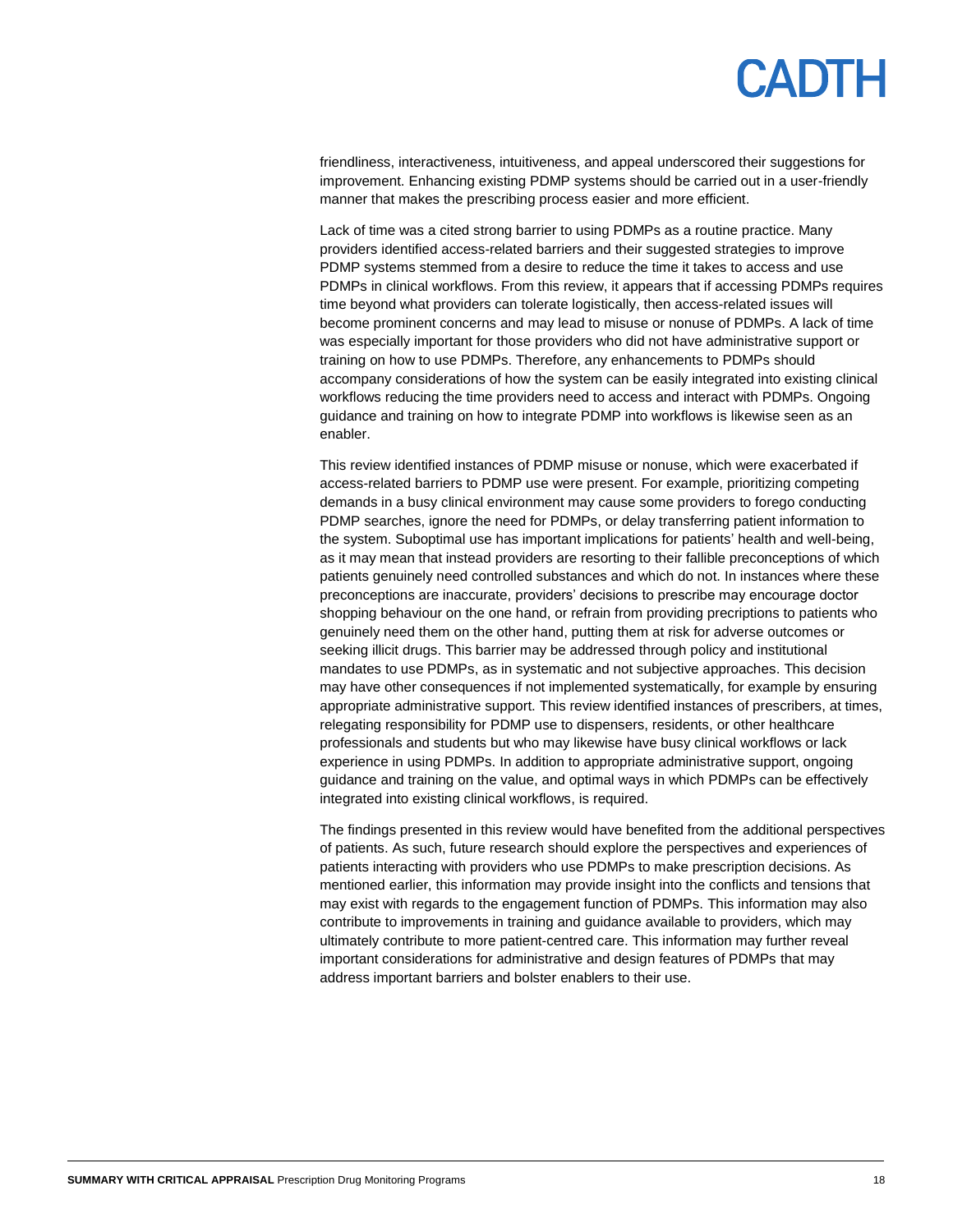friendliness, interactiveness, intuitiveness, and appeal underscored their suggestions for improvement. Enhancing existing PDMP systems should be carried out in a user-friendly manner that makes the prescribing process easier and more efficient.

Lack of time was a cited strong barrier to using PDMPs as a routine practice. Many providers identified access-related barriers and their suggested strategies to improve PDMP systems stemmed from a desire to reduce the time it takes to access and use PDMPs in clinical workflows. From this review, it appears that if accessing PDMPs requires time beyond what providers can tolerate logistically, then access-related issues will become prominent concerns and may lead to misuse or nonuse of PDMPs. A lack of time was especially important for those providers who did not have administrative support or training on how to use PDMPs. Therefore, any enhancements to PDMPs should accompany considerations of how the system can be easily integrated into existing clinical workflows reducing the time providers need to access and interact with PDMPs. Ongoing guidance and training on how to integrate PDMP into workflows is likewise seen as an enabler.

This review identified instances of PDMP misuse or nonuse, which were exacerbated if access-related barriers to PDMP use were present. For example, prioritizing competing demands in a busy clinical environment may cause some providers to forego conducting PDMP searches, ignore the need for PDMPs, or delay transferring patient information to the system. Suboptimal use has important implications for patients' health and well-being, as it may mean that instead providers are resorting to their fallible preconceptions of which patients genuinely need controlled substances and which do not. In instances where these preconceptions are inaccurate, providers' decisions to prescribe may encourage doctor shopping behaviour on the one hand, or refrain from providing precriptions to patients who genuinely need them on the other hand, putting them at risk for adverse outcomes or seeking illicit drugs. This barrier may be addressed through policy and institutional mandates to use PDMPs, as in systematic and not subjective approaches. This decision may have other consequences if not implemented systematically, for example by ensuring appropriate administrative support. This review identified instances of prescribers, at times, relegating responsibility for PDMP use to dispensers, residents, or other healthcare professionals and students but who may likewise have busy clinical workflows or lack experience in using PDMPs. In addition to appropriate administrative support, ongoing guidance and training on the value, and optimal ways in which PDMPs can be effectively integrated into existing clinical workflows, is required.

The findings presented in this review would have benefited from the additional perspectives of patients. As such, future research should explore the perspectives and experiences of patients interacting with providers who use PDMPs to make prescription decisions. As mentioned earlier, this information may provide insight into the conflicts and tensions that may exist with regards to the engagement function of PDMPs. This information may also contribute to improvements in training and guidance available to providers, which may ultimately contribute to more patient-centred care. This information may further reveal important considerations for administrative and design features of PDMPs that may address important barriers and bolster enablers to their use.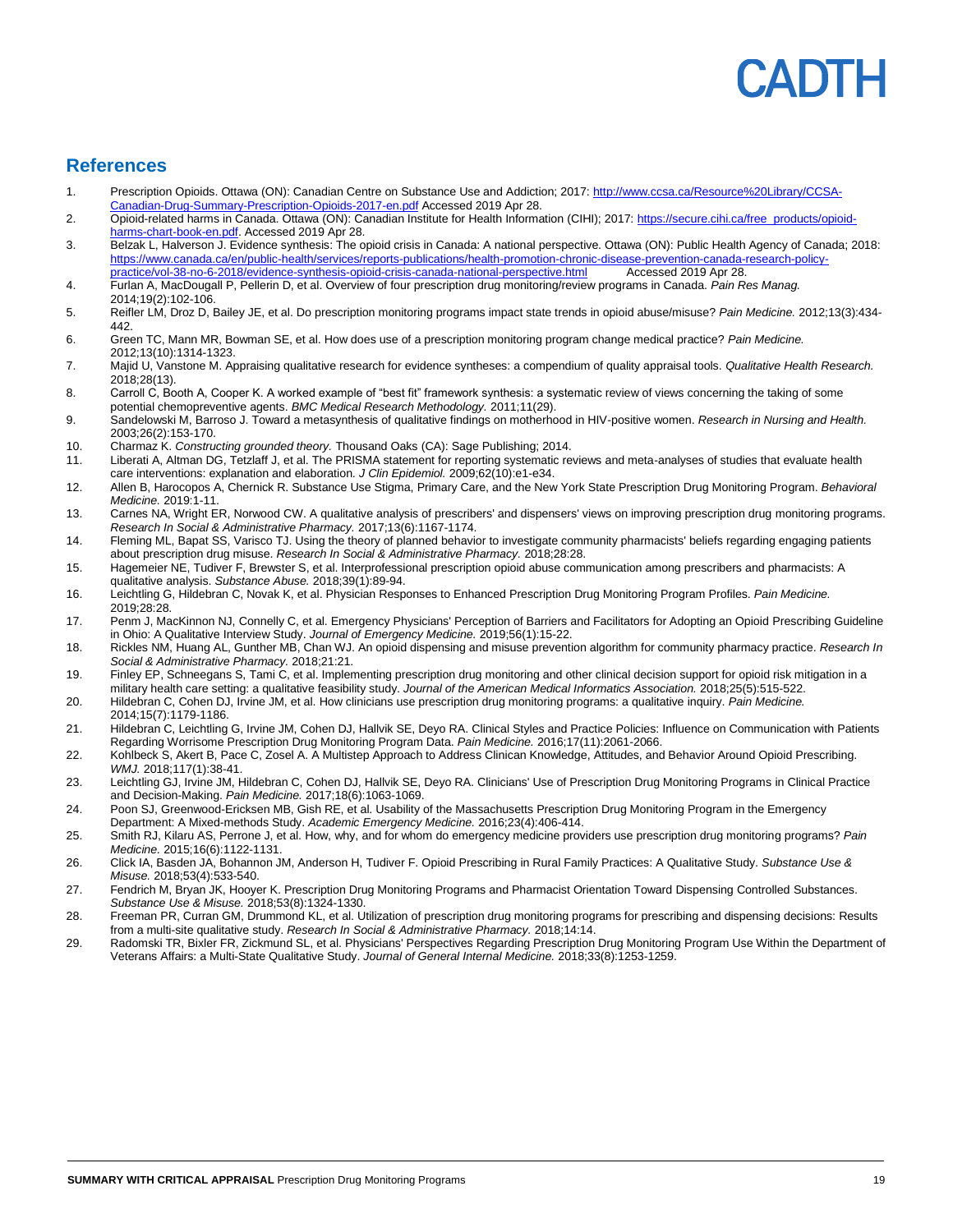# **ADIH**

### **References**

- 1. Prescription Opioids. Ottawa (ON): Canadian Centre on Substance Use and Addiction; 2017[: http://www.ccsa.ca/Resource%20Library/CCSA-](http://www.ccsa.ca/Resource%20Library/CCSA-Canadian-Drug-Summary-Prescription-Opioids-2017-en.pdf)[Canadian-Drug-Summary-Prescription-Opioids-2017-en.pdf](http://www.ccsa.ca/Resource%20Library/CCSA-Canadian-Drug-Summary-Prescription-Opioids-2017-en.pdf) Accessed 2019 Apr 28.
- 2. Opioid-related harms in Canada. Ottawa (ON): Canadian Institute for Health Information (CIHI); 2017[: https://secure.cihi.ca/free\\_products/opioid](https://secure.cihi.ca/free_products/opioid-harms-chart-book-en.pdf)[harms-chart-book-en.pdf.](https://secure.cihi.ca/free_products/opioid-harms-chart-book-en.pdf) Accessed 2019 Apr 28.
- 3. Belzak L, Halverson J. Evidence synthesis: The opioid crisis in Canada: A national perspective. Ottawa (ON): Public Health Agency of Canada; 2018: https://www.canada.ca/en/public-health/services/reports-publications/health-promotion-chronic-disease-prevention-canada-re<br>practice/vol-38-no-6-2018/evidence-synthesis-opioid-crisis-canada-pational-perspective html Accesse [practice/vol-38-no-6-2018/evidence-synthesis-opioid-crisis-canada-national-perspective.html](https://www.canada.ca/en/public-health/services/reports-publications/health-promotion-chronic-disease-prevention-canada-research-policy-practice/vol-38-no-6-2018/evidence-synthesis-opioid-crisis-canada-national-perspective.html)
- 4. Furlan A, MacDougall P, Pellerin D, et al. Overview of four prescription drug monitoring/review programs in Canada. *Pain Res Manag.*  2014;19(2):102-106.
- 5. Reifler LM, Droz D, Bailey JE, et al. Do prescription monitoring programs impact state trends in opioid abuse/misuse? *Pain Medicine.* 2012;13(3):434- 442.
- 6. Green TC, Mann MR, Bowman SE, et al. How does use of a prescription monitoring program change medical practice? *Pain Medicine.*  2012;13(10):1314-1323.
- 7. Majid U, Vanstone M. Appraising qualitative research for evidence syntheses: a compendium of quality appraisal tools. *Qualitative Health Research.*  2018;28(13).
- 8. Carroll C, Booth A, Cooper K. A worked example of "best fit" framework synthesis: a systematic review of views concerning the taking of some potential chemopreventive agents. *BMC Medical Research Methodology.* 2011;11(29).
- 9. Sandelowski M, Barroso J. Toward a metasynthesis of qualitative findings on motherhood in HIV-positive women. *Research in Nursing and Health.*  2003;26(2):153-170.
- 10. Charmaz K. *Constructing grounded theory.* Thousand Oaks (CA): Sage Publishing; 2014.
- 11. Liberati A, Altman DG, Tetzlaff J, et al. The PRISMA statement for reporting systematic reviews and meta-analyses of studies that evaluate health care interventions: explanation and elaboration. *J Clin Epidemiol.* 2009;62(10):e1-e34.
- 12. Allen B, Harocopos A, Chernick R. Substance Use Stigma, Primary Care, and the New York State Prescription Drug Monitoring Program. *Behavioral Medicine.* 2019:1-11.
- 13. Carnes NA, Wright ER, Norwood CW. A qualitative analysis of prescribers' and dispensers' views on improving prescription drug monitoring programs. *Research In Social & Administrative Pharmacy.* 2017;13(6):1167-1174.
- 14. Fleming ML, Bapat SS, Varisco TJ. Using the theory of planned behavior to investigate community pharmacists' beliefs regarding engaging patients about prescription drug misuse. *Research In Social & Administrative Pharmacy.* 2018;28:28.
- 15. Hagemeier NE, Tudiver F, Brewster S, et al. Interprofessional prescription opioid abuse communication among prescribers and pharmacists: A qualitative analysis. *Substance Abuse.* 2018;39(1):89-94.
- 16. Leichtling G, Hildebran C, Novak K, et al. Physician Responses to Enhanced Prescription Drug Monitoring Program Profiles. *Pain Medicine.*  2019;28:28.
- 17. Penm J, MacKinnon NJ, Connelly C, et al. Emergency Physicians' Perception of Barriers and Facilitators for Adopting an Opioid Prescribing Guideline in Ohio: A Qualitative Interview Study. *Journal of Emergency Medicine.* 2019;56(1):15-22.
- 18. Rickles NM, Huang AL, Gunther MB, Chan WJ. An opioid dispensing and misuse prevention algorithm for community pharmacy practice. *Research In Social & Administrative Pharmacy.* 2018;21:21.
- 19. Finley EP, Schneegans S, Tami C, et al. Implementing prescription drug monitoring and other clinical decision support for opioid risk mitigation in a military health care setting: a qualitative feasibility study. *Journal of the American Medical Informatics Association.* 2018;25(5):515-522.
- 20. Hildebran C, Cohen DJ, Irvine JM, et al. How clinicians use prescription drug monitoring programs: a qualitative inquiry. *Pain Medicine.*  2014;15(7):1179-1186.
- 21. Hildebran C, Leichtling G, Irvine JM, Cohen DJ, Hallvik SE, Deyo RA. Clinical Styles and Practice Policies: Influence on Communication with Patients Regarding Worrisome Prescription Drug Monitoring Program Data. *Pain Medicine.* 2016;17(11):2061-2066.
- 22. Kohlbeck S, Akert B, Pace C, Zosel A. A Multistep Approach to Address Clinican Knowledge, Attitudes, and Behavior Around Opioid Prescribing. *WMJ.* 2018;117(1):38-41.
- 23. Leichtling GJ, Irvine JM, Hildebran C, Cohen DJ, Hallvik SE, Deyo RA. Clinicians' Use of Prescription Drug Monitoring Programs in Clinical Practice and Decision-Making. *Pain Medicine.* 2017;18(6):1063-1069.
- 24. Poon SJ, Greenwood-Ericksen MB, Gish RE, et al. Usability of the Massachusetts Prescription Drug Monitoring Program in the Emergency Department: A Mixed-methods Study. *Academic Emergency Medicine.* 2016;23(4):406-414.
- 25. Smith RJ, Kilaru AS, Perrone J, et al. How, why, and for whom do emergency medicine providers use prescription drug monitoring programs? *Pain Medicine.* 2015;16(6):1122-1131.
- 26. Click IA, Basden JA, Bohannon JM, Anderson H, Tudiver F. Opioid Prescribing in Rural Family Practices: A Qualitative Study. *Substance Use & Misuse.* 2018;53(4):533-540.
- 27. Fendrich M, Bryan JK, Hooyer K. Prescription Drug Monitoring Programs and Pharmacist Orientation Toward Dispensing Controlled Substances. *Substance Use & Misuse.* 2018;53(8):1324-1330.
- 28. Freeman PR, Curran GM, Drummond KL, et al. Utilization of prescription drug monitoring programs for prescribing and dispensing decisions: Results from a multi-site qualitative study. *Research In Social & Administrative Pharmacy.* 2018;14:14.
- 29. Radomski TR, Bixler FR, Zickmund SL, et al. Physicians' Perspectives Regarding Prescription Drug Monitoring Program Use Within the Department of Veterans Affairs: a Multi-State Qualitative Study. *Journal of General Internal Medicine.* 2018;33(8):1253-1259.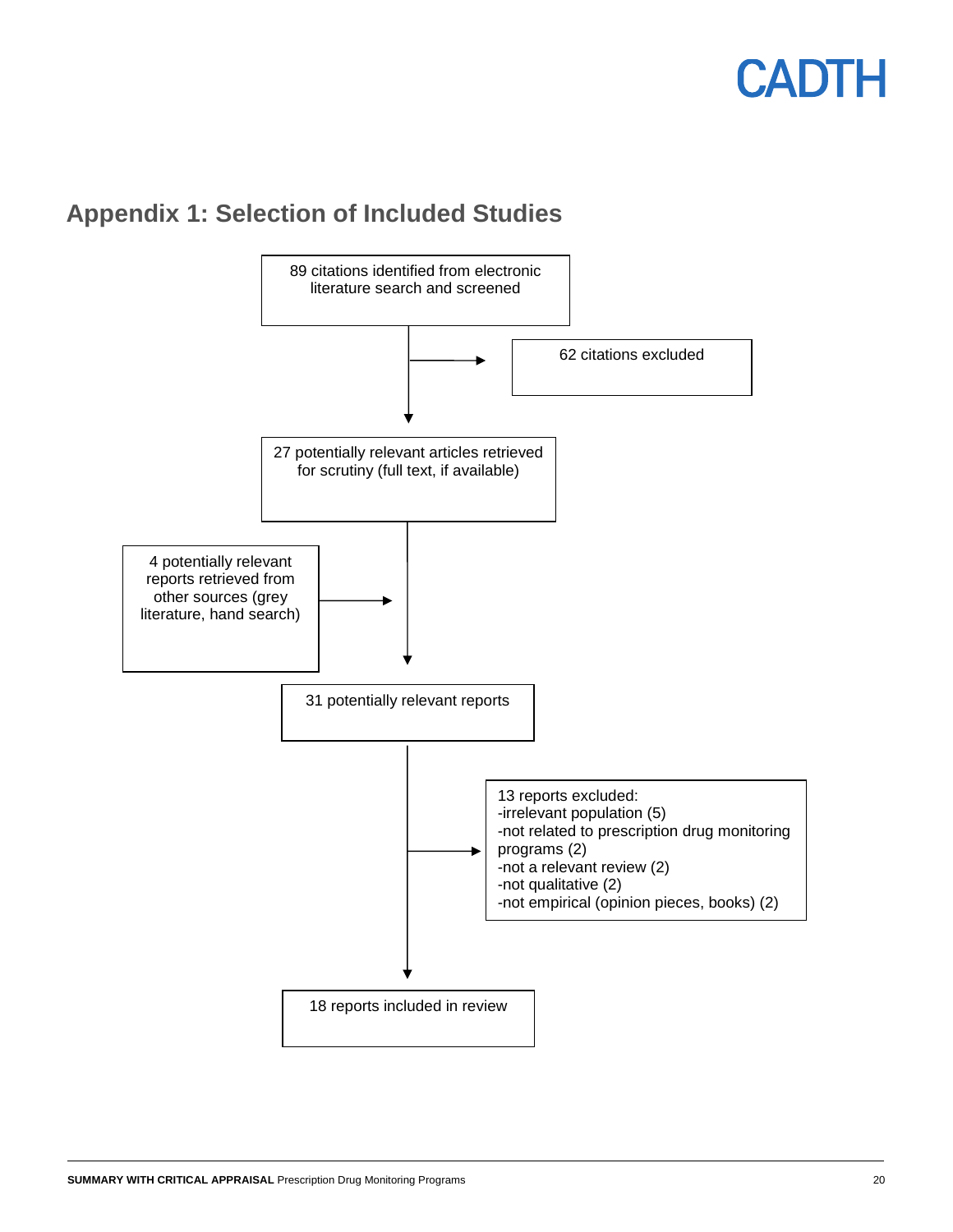### **Appendix 1: Selection of Included Studies**

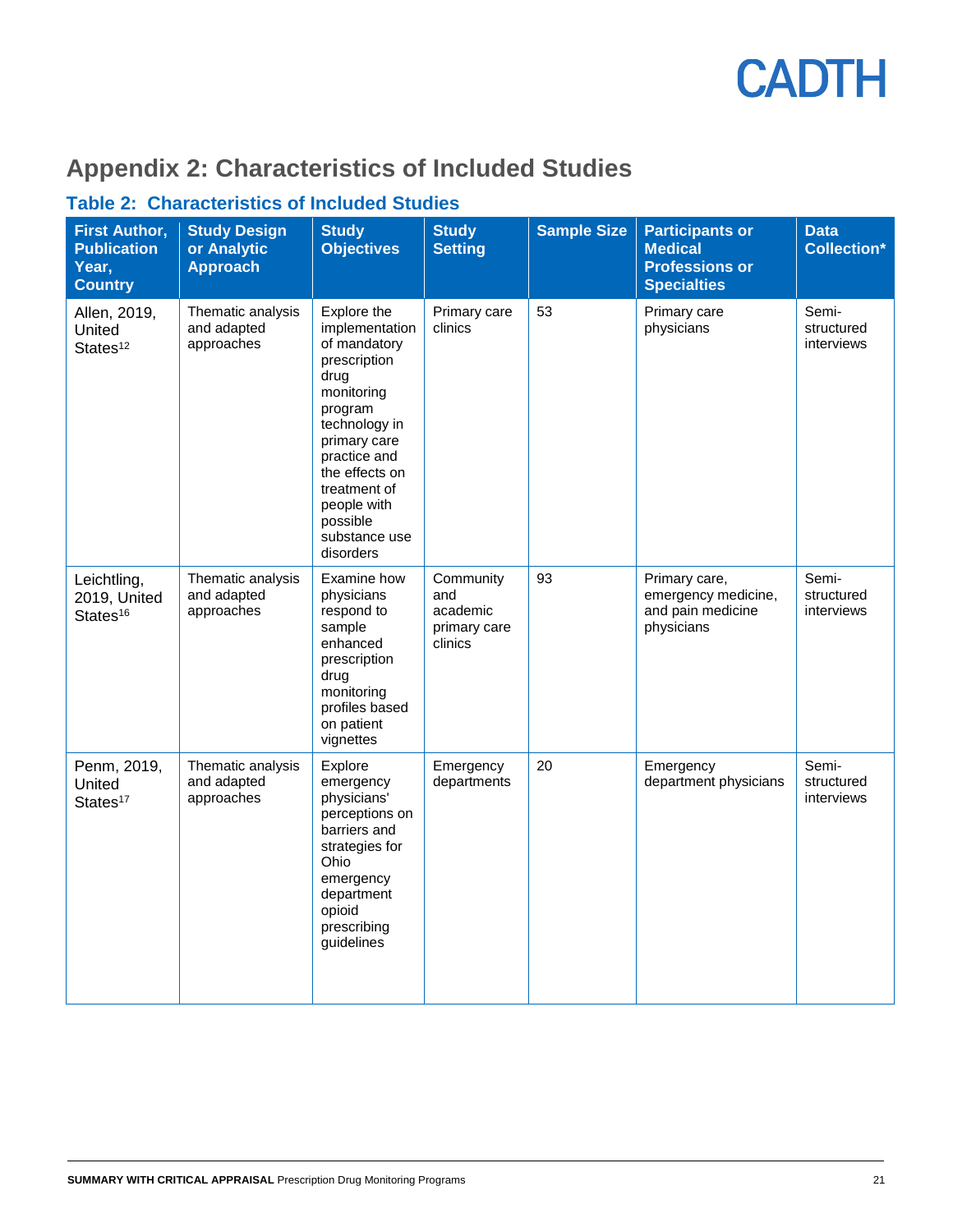

### **Appendix 2: Characteristics of Included Studies**

### **Table 2: Characteristics of Included Studies**

| <b>First Author,</b><br><b>Publication</b><br>Year,<br><b>Country</b> | <b>Study Design</b><br>or Analytic<br><b>Approach</b> | <b>Study</b><br><b>Objectives</b>                                                                                                                                                                                                          | <b>Study</b><br><b>Setting</b>                          | <b>Sample Size</b> | <b>Participants or</b><br><b>Medical</b><br><b>Professions or</b><br><b>Specialties</b> | <b>Data</b><br><b>Collection*</b> |
|-----------------------------------------------------------------------|-------------------------------------------------------|--------------------------------------------------------------------------------------------------------------------------------------------------------------------------------------------------------------------------------------------|---------------------------------------------------------|--------------------|-----------------------------------------------------------------------------------------|-----------------------------------|
| Allen, 2019,<br>United<br>States <sup>12</sup>                        | Thematic analysis<br>and adapted<br>approaches        | Explore the<br>implementation<br>of mandatory<br>prescription<br>drug<br>monitoring<br>program<br>technology in<br>primary care<br>practice and<br>the effects on<br>treatment of<br>people with<br>possible<br>substance use<br>disorders | Primary care<br>clinics                                 | 53                 | Primary care<br>physicians                                                              | Semi-<br>structured<br>interviews |
| Leichtling,<br>2019, United<br>States <sup>16</sup>                   | Thematic analysis<br>and adapted<br>approaches        | Examine how<br>physicians<br>respond to<br>sample<br>enhanced<br>prescription<br>drug<br>monitoring<br>profiles based<br>on patient<br>vignettes                                                                                           | Community<br>and<br>academic<br>primary care<br>clinics | 93                 | Primary care,<br>emergency medicine,<br>and pain medicine<br>physicians                 | Semi-<br>structured<br>interviews |
| Penm, 2019,<br>United<br>States <sup>17</sup>                         | Thematic analysis<br>and adapted<br>approaches        | Explore<br>emergency<br>physicians'<br>perceptions on<br>barriers and<br>strategies for<br>Ohio<br>emergency<br>department<br>opioid<br>prescribing<br>guidelines                                                                          | Emergency<br>departments                                | 20                 | Emergency<br>department physicians                                                      | Semi-<br>structured<br>interviews |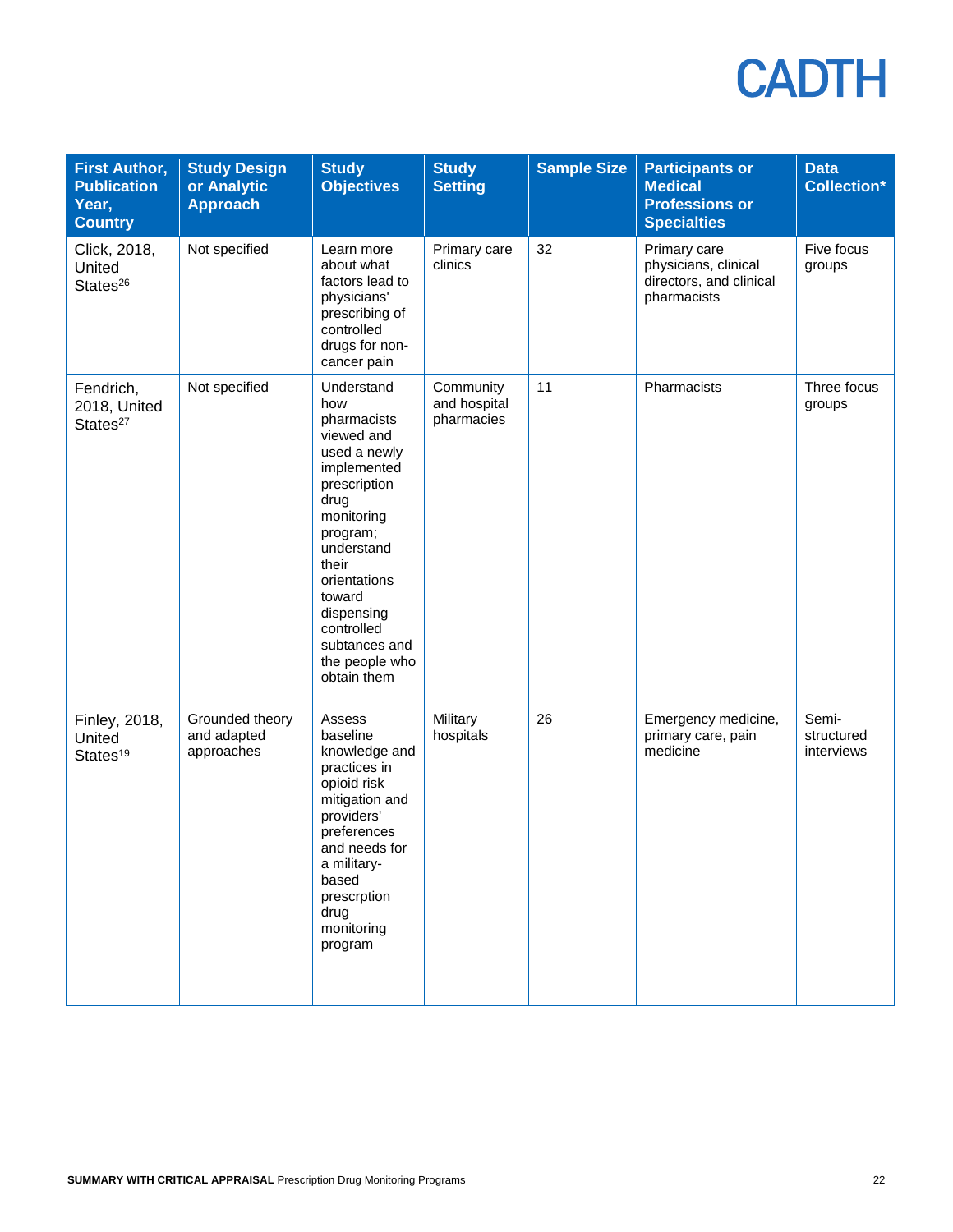| <b>First Author,</b><br><b>Publication</b><br>Year,<br><b>Country</b> | <b>Study Design</b><br>or Analytic<br><b>Approach</b> | <b>Study</b><br><b>Objectives</b>                                                                                                                                                                                                                              | <b>Study</b><br><b>Setting</b>          | <b>Sample Size</b> | <b>Participants or</b><br><b>Medical</b><br><b>Professions or</b><br><b>Specialties</b> | <b>Data</b><br><b>Collection*</b> |
|-----------------------------------------------------------------------|-------------------------------------------------------|----------------------------------------------------------------------------------------------------------------------------------------------------------------------------------------------------------------------------------------------------------------|-----------------------------------------|--------------------|-----------------------------------------------------------------------------------------|-----------------------------------|
| Click, 2018,<br>United<br>States <sup>26</sup>                        | Not specified                                         | Learn more<br>about what<br>factors lead to<br>physicians'<br>prescribing of<br>controlled<br>drugs for non-<br>cancer pain                                                                                                                                    | Primary care<br>clinics                 | 32                 | Primary care<br>physicians, clinical<br>directors, and clinical<br>pharmacists          | Five focus<br>groups              |
| Fendrich,<br>2018, United<br>States <sup>27</sup>                     | Not specified                                         | Understand<br>how<br>pharmacists<br>viewed and<br>used a newly<br>implemented<br>prescription<br>drug<br>monitoring<br>program;<br>understand<br>their<br>orientations<br>toward<br>dispensing<br>controlled<br>subtances and<br>the people who<br>obtain them | Community<br>and hospital<br>pharmacies | 11                 | Pharmacists                                                                             | Three focus<br>groups             |
| Finley, 2018,<br>United<br>States <sup>19</sup>                       | Grounded theory<br>and adapted<br>approaches          | Assess<br>baseline<br>knowledge and<br>practices in<br>opioid risk<br>mitigation and<br>providers'<br>preferences<br>and needs for<br>a military-<br>based<br>prescrption<br>drug<br>monitoring<br>program                                                     | Military<br>hospitals                   | 26                 | Emergency medicine,<br>primary care, pain<br>medicine                                   | Semi-<br>structured<br>interviews |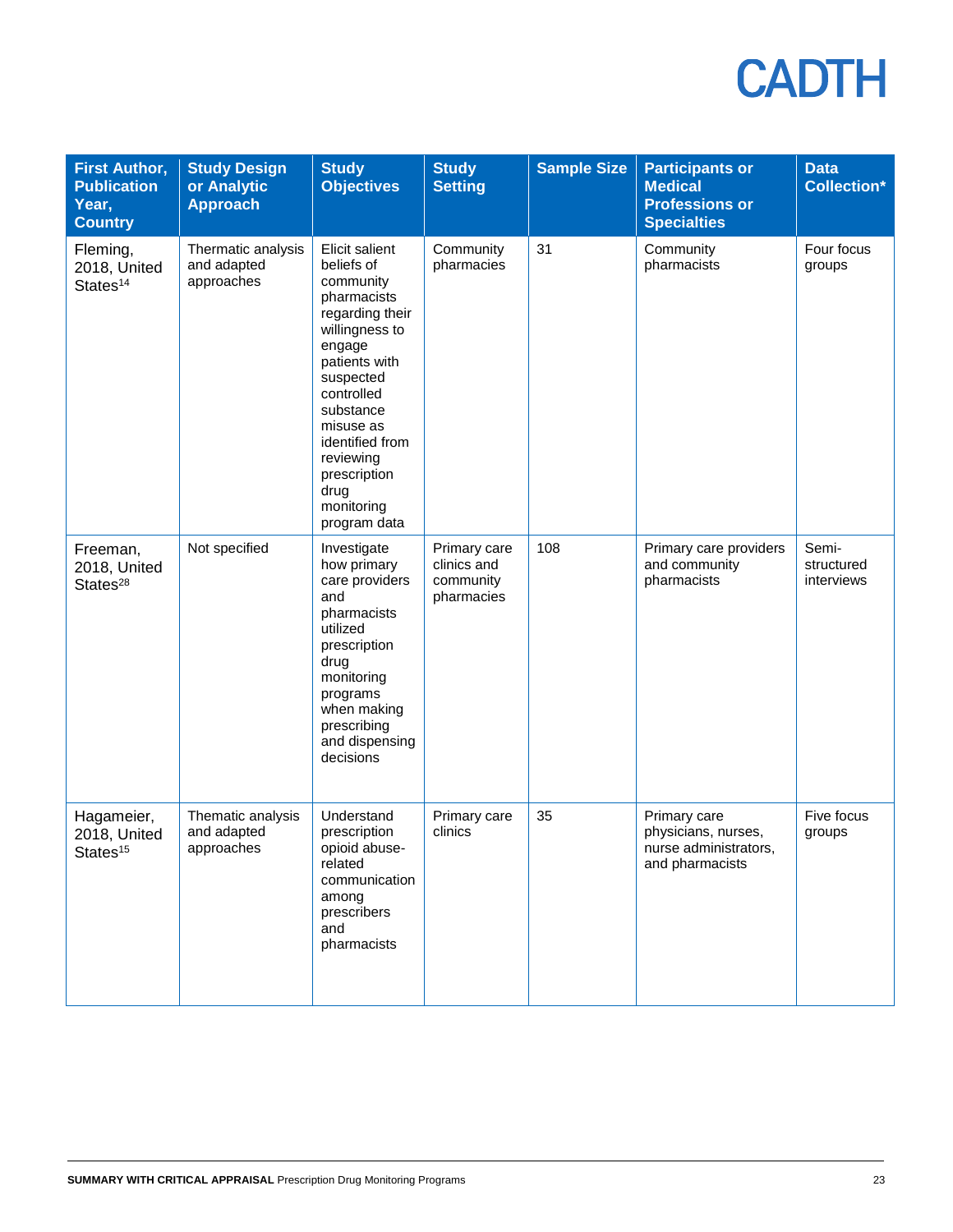| <b>First Author,</b><br><b>Publication</b><br>Year,<br><b>Country</b> | <b>Study Design</b><br>or Analytic<br><b>Approach</b> | <b>Study</b><br><b>Objectives</b>                                                                                                                                                                                                                                   | <b>Study</b><br><b>Setting</b>                         | <b>Sample Size</b> | <b>Participants or</b><br><b>Medical</b><br><b>Professions or</b><br><b>Specialties</b> | <b>Data</b><br><b>Collection*</b> |
|-----------------------------------------------------------------------|-------------------------------------------------------|---------------------------------------------------------------------------------------------------------------------------------------------------------------------------------------------------------------------------------------------------------------------|--------------------------------------------------------|--------------------|-----------------------------------------------------------------------------------------|-----------------------------------|
| Fleming,<br>2018, United<br>States <sup>14</sup>                      | Thermatic analysis<br>and adapted<br>approaches       | Elicit salient<br>beliefs of<br>community<br>pharmacists<br>regarding their<br>willingness to<br>engage<br>patients with<br>suspected<br>controlled<br>substance<br>misuse as<br>identified from<br>reviewing<br>prescription<br>drug<br>monitoring<br>program data | Community<br>pharmacies                                | 31                 | Community<br>pharmacists                                                                | Four focus<br>groups              |
| Freeman,<br>2018, United<br>States <sup>28</sup>                      | Not specified                                         | Investigate<br>how primary<br>care providers<br>and<br>pharmacists<br>utilized<br>prescription<br>drug<br>monitoring<br>programs<br>when making<br>prescribing<br>and dispensing<br>decisions                                                                       | Primary care<br>clinics and<br>community<br>pharmacies | 108                | Primary care providers<br>and community<br>pharmacists                                  | Semi-<br>structured<br>interviews |
| Hagameier,<br>2018, United<br>States <sup>15</sup>                    | Thematic analysis<br>and adapted<br>approaches        | Understand<br>prescription<br>opioid abuse-<br>related<br>communication<br>among<br>prescribers<br>and<br>pharmacists                                                                                                                                               | Primary care<br>clinics                                | 35                 | Primary care<br>physicians, nurses,<br>nurse administrators,<br>and pharmacists         | Five focus<br>groups              |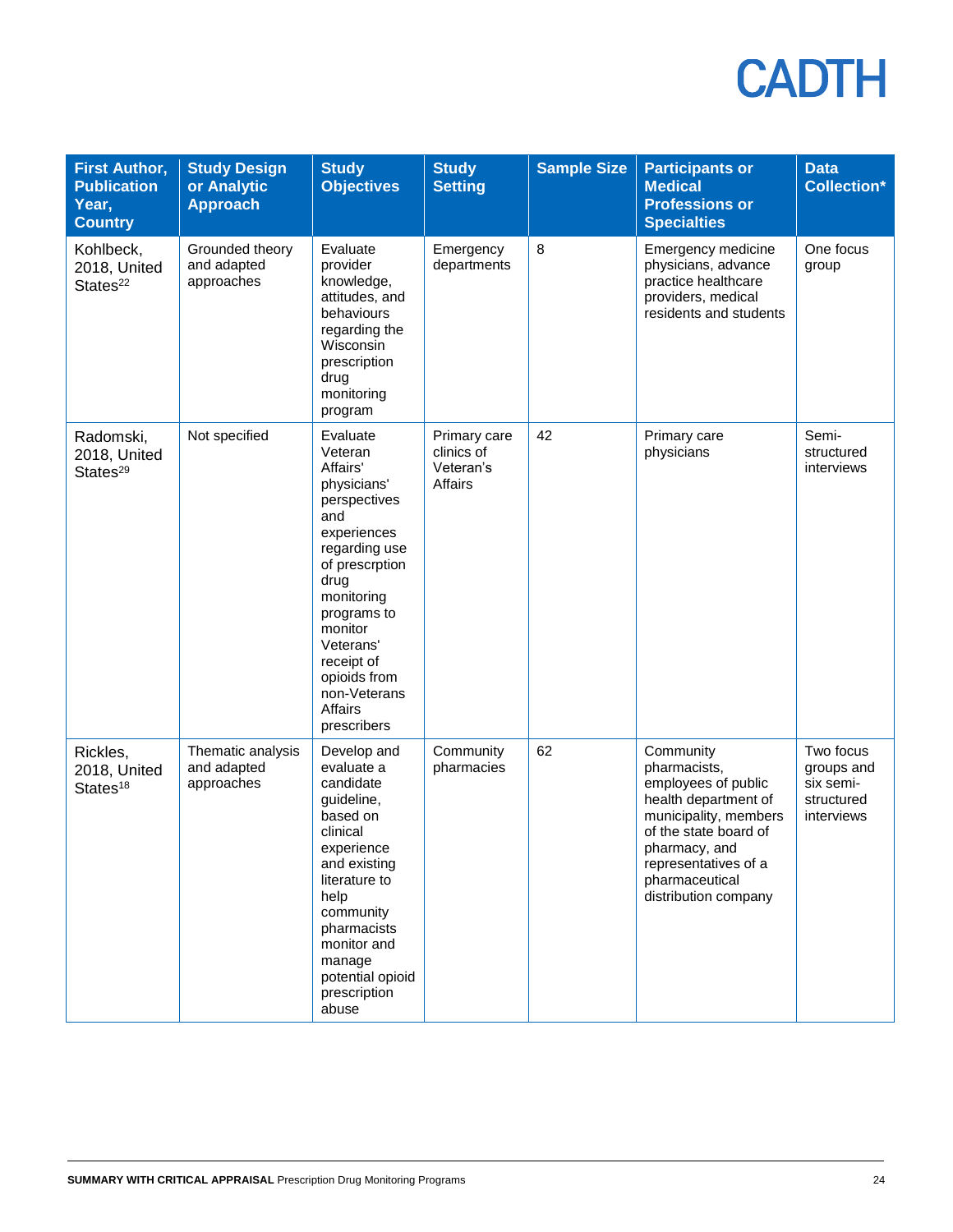| <b>First Author,</b><br><b>Publication</b><br>Year,<br><b>Country</b> | <b>Study Design</b><br>or Analytic<br><b>Approach</b> | <b>Study</b><br><b>Objectives</b>                                                                                                                                                                                                                            | <b>Study</b><br><b>Setting</b>                     | <b>Sample Size</b> | <b>Participants or</b><br><b>Medical</b><br><b>Professions or</b><br><b>Specialties</b>                                                                                                                       | <b>Data</b><br><b>Collection*</b>                                |
|-----------------------------------------------------------------------|-------------------------------------------------------|--------------------------------------------------------------------------------------------------------------------------------------------------------------------------------------------------------------------------------------------------------------|----------------------------------------------------|--------------------|---------------------------------------------------------------------------------------------------------------------------------------------------------------------------------------------------------------|------------------------------------------------------------------|
| Kohlbeck,<br>2018, United<br>States <sup>22</sup>                     | Grounded theory<br>and adapted<br>approaches          | Evaluate<br>provider<br>knowledge,<br>attitudes, and<br>behaviours<br>regarding the<br>Wisconsin<br>prescription<br>drug<br>monitoring<br>program                                                                                                            | Emergency<br>departments                           | 8                  | Emergency medicine<br>physicians, advance<br>practice healthcare<br>providers, medical<br>residents and students                                                                                              | One focus<br>group                                               |
| Radomski,<br>2018, United<br>States <sup>29</sup>                     | Not specified                                         | Evaluate<br>Veteran<br>Affairs'<br>physicians'<br>perspectives<br>and<br>experiences<br>regarding use<br>of prescrption<br>drug<br>monitoring<br>programs to<br>monitor<br>Veterans'<br>receipt of<br>opioids from<br>non-Veterans<br>Affairs<br>prescribers | Primary care<br>clinics of<br>Veteran's<br>Affairs | 42                 | Primary care<br>physicians                                                                                                                                                                                    | Semi-<br>structured<br>interviews                                |
| Rickles,<br>2018, United<br>States <sup>18</sup>                      | Thematic analysis<br>and adapted<br>approaches        | Develop and<br>evaluate a<br>candidate<br>guideline,<br>based on<br>clinical<br>experience<br>and existing<br>literature to<br>help<br>community<br>pharmacists<br>monitor and<br>manage<br>potential opioid<br>prescription<br>abuse                        | Community<br>pharmacies                            | 62                 | Community<br>pharmacists,<br>employees of public<br>health department of<br>municipality, members<br>of the state board of<br>pharmacy, and<br>representatives of a<br>pharmaceutical<br>distribution company | Two focus<br>groups and<br>six semi-<br>structured<br>interviews |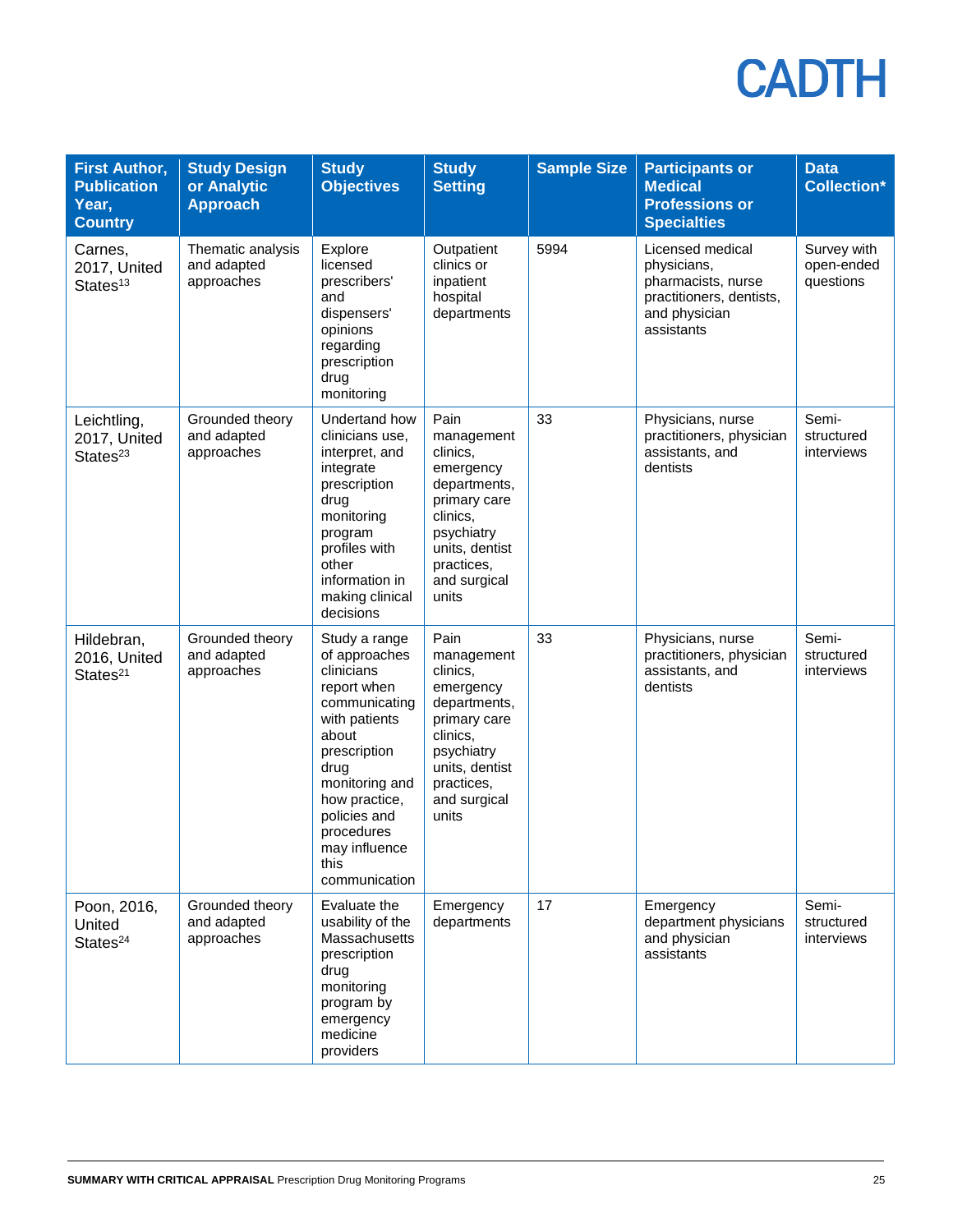| <b>First Author,</b><br><b>Publication</b><br>Year,<br><b>Country</b> | <b>Study Design</b><br>or Analytic<br><b>Approach</b> | <b>Study</b><br><b>Objectives</b>                                                                                                                                                                                                         | <b>Study</b><br><b>Setting</b>                                                                                                                                 | <b>Sample Size</b> | <b>Participants or</b><br><b>Medical</b><br><b>Professions or</b><br><b>Specialties</b>                          | <b>Data</b><br><b>Collection*</b>      |
|-----------------------------------------------------------------------|-------------------------------------------------------|-------------------------------------------------------------------------------------------------------------------------------------------------------------------------------------------------------------------------------------------|----------------------------------------------------------------------------------------------------------------------------------------------------------------|--------------------|------------------------------------------------------------------------------------------------------------------|----------------------------------------|
| Carnes,<br>2017, United<br>States <sup>13</sup>                       | Thematic analysis<br>and adapted<br>approaches        | Explore<br>licensed<br>prescribers'<br>and<br>dispensers'<br>opinions<br>regarding<br>prescription<br>drug<br>monitoring                                                                                                                  | Outpatient<br>clinics or<br>inpatient<br>hospital<br>departments                                                                                               | 5994               | Licensed medical<br>physicians,<br>pharmacists, nurse<br>practitioners, dentists,<br>and physician<br>assistants | Survey with<br>open-ended<br>questions |
| Leichtling,<br>2017, United<br>States <sup>23</sup>                   | Grounded theory<br>and adapted<br>approaches          | Undertand how<br>clinicians use,<br>interpret, and<br>integrate<br>prescription<br>drug<br>monitoring<br>program<br>profiles with<br>other<br>information in<br>making clinical<br>decisions                                              | Pain<br>management<br>clinics,<br>emergency<br>departments,<br>primary care<br>clinics,<br>psychiatry<br>units, dentist<br>practices,<br>and surgical<br>units | 33                 | Physicians, nurse<br>practitioners, physician<br>assistants, and<br>dentists                                     | Semi-<br>structured<br>interviews      |
| Hildebran,<br>2016, United<br>States <sup>21</sup>                    | Grounded theory<br>and adapted<br>approaches          | Study a range<br>of approaches<br>clinicians<br>report when<br>communicating<br>with patients<br>about<br>prescription<br>drug<br>monitoring and<br>how practice,<br>policies and<br>procedures<br>may influence<br>this<br>communication | Pain<br>management<br>clinics,<br>emergency<br>departments,<br>primary care<br>clinics,<br>psychiatry<br>units, dentist<br>practices,<br>and surgical<br>units | 33                 | Physicians, nurse<br>practitioners, physician<br>assistants, and<br>dentists                                     | Semi-<br>structured<br>interviews      |
| Poon, 2016,<br>United<br>States <sup>24</sup>                         | Grounded theory<br>and adapted<br>approaches          | Evaluate the<br>usability of the<br>Massachusetts<br>prescription<br>drug<br>monitoring<br>program by<br>emergency<br>medicine<br>providers                                                                                               | Emergency<br>departments                                                                                                                                       | 17                 | Emergency<br>department physicians<br>and physician<br>assistants                                                | Semi-<br>structured<br>interviews      |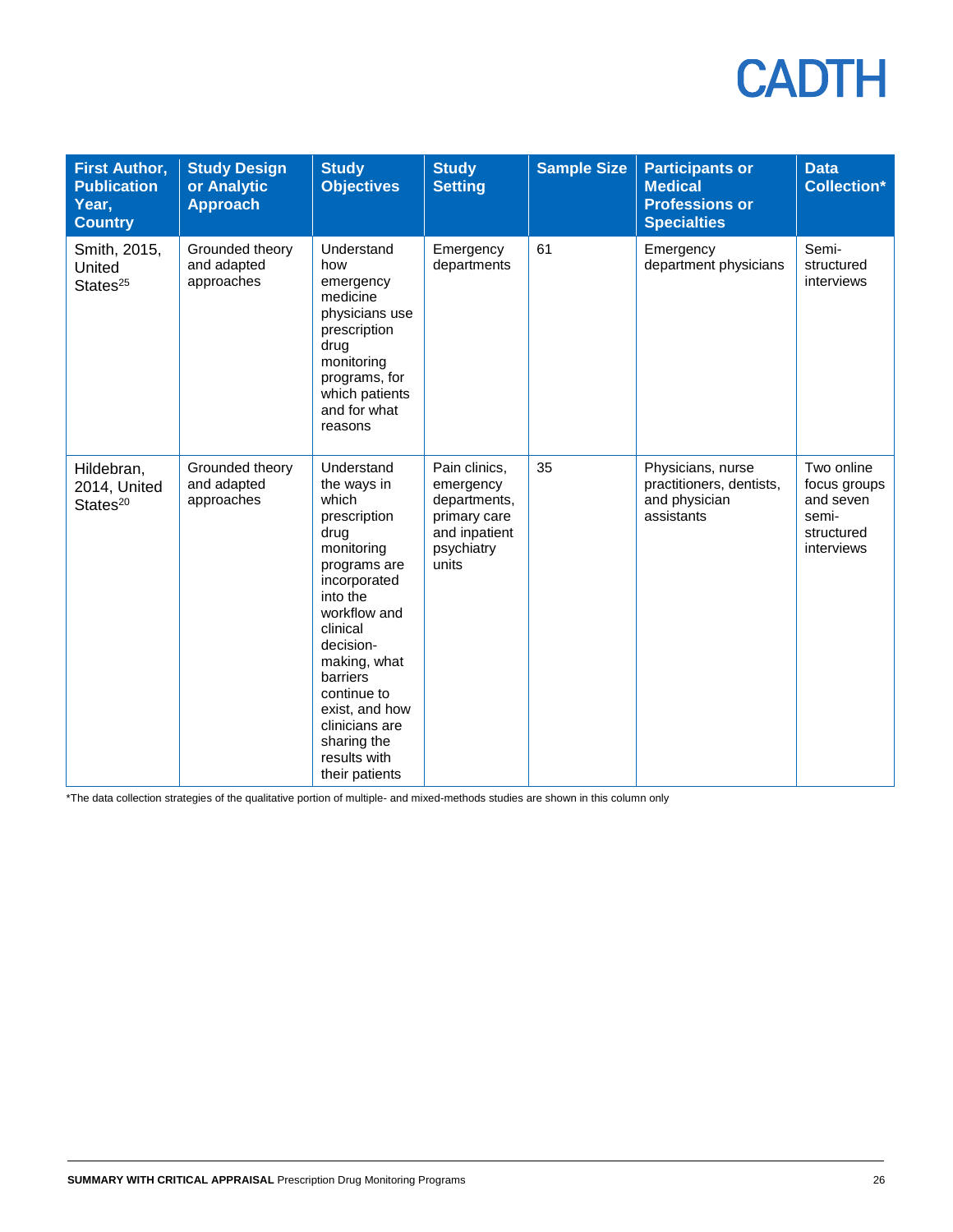| <b>First Author,</b><br><b>Publication</b><br>Year,<br><b>Country</b> | <b>Study Design</b><br>or Analytic<br><b>Approach</b> | <b>Study</b><br><b>Objectives</b>                                                                                                                                                                                                                                                             | <b>Study</b><br><b>Setting</b>                                                                     | <b>Sample Size</b> | <b>Participants or</b><br><b>Medical</b><br><b>Professions or</b><br><b>Specialties</b> | <b>Data</b><br><b>Collection*</b>                                            |
|-----------------------------------------------------------------------|-------------------------------------------------------|-----------------------------------------------------------------------------------------------------------------------------------------------------------------------------------------------------------------------------------------------------------------------------------------------|----------------------------------------------------------------------------------------------------|--------------------|-----------------------------------------------------------------------------------------|------------------------------------------------------------------------------|
| Smith, 2015,<br>United<br>States <sup>25</sup>                        | Grounded theory<br>and adapted<br>approaches          | Understand<br>how<br>emergency<br>medicine<br>physicians use<br>prescription<br>drug<br>monitoring<br>programs, for<br>which patients<br>and for what<br>reasons                                                                                                                              | Emergency<br>departments                                                                           | 61                 | Emergency<br>department physicians                                                      | Semi-<br>structured<br>interviews                                            |
| Hildebran,<br>2014, United<br>States <sup>20</sup>                    | Grounded theory<br>and adapted<br>approaches          | Understand<br>the ways in<br>which<br>prescription<br>drug<br>monitoring<br>programs are<br>incorporated<br>into the<br>workflow and<br>clinical<br>decision-<br>making, what<br>barriers<br>continue to<br>exist, and how<br>clinicians are<br>sharing the<br>results with<br>their patients | Pain clinics,<br>emergency<br>departments,<br>primary care<br>and inpatient<br>psychiatry<br>units | 35                 | Physicians, nurse<br>practitioners, dentists,<br>and physician<br>assistants            | Two online<br>focus groups<br>and seven<br>semi-<br>structured<br>interviews |

\*The data collection strategies of the qualitative portion of multiple- and mixed-methods studies are shown in this column only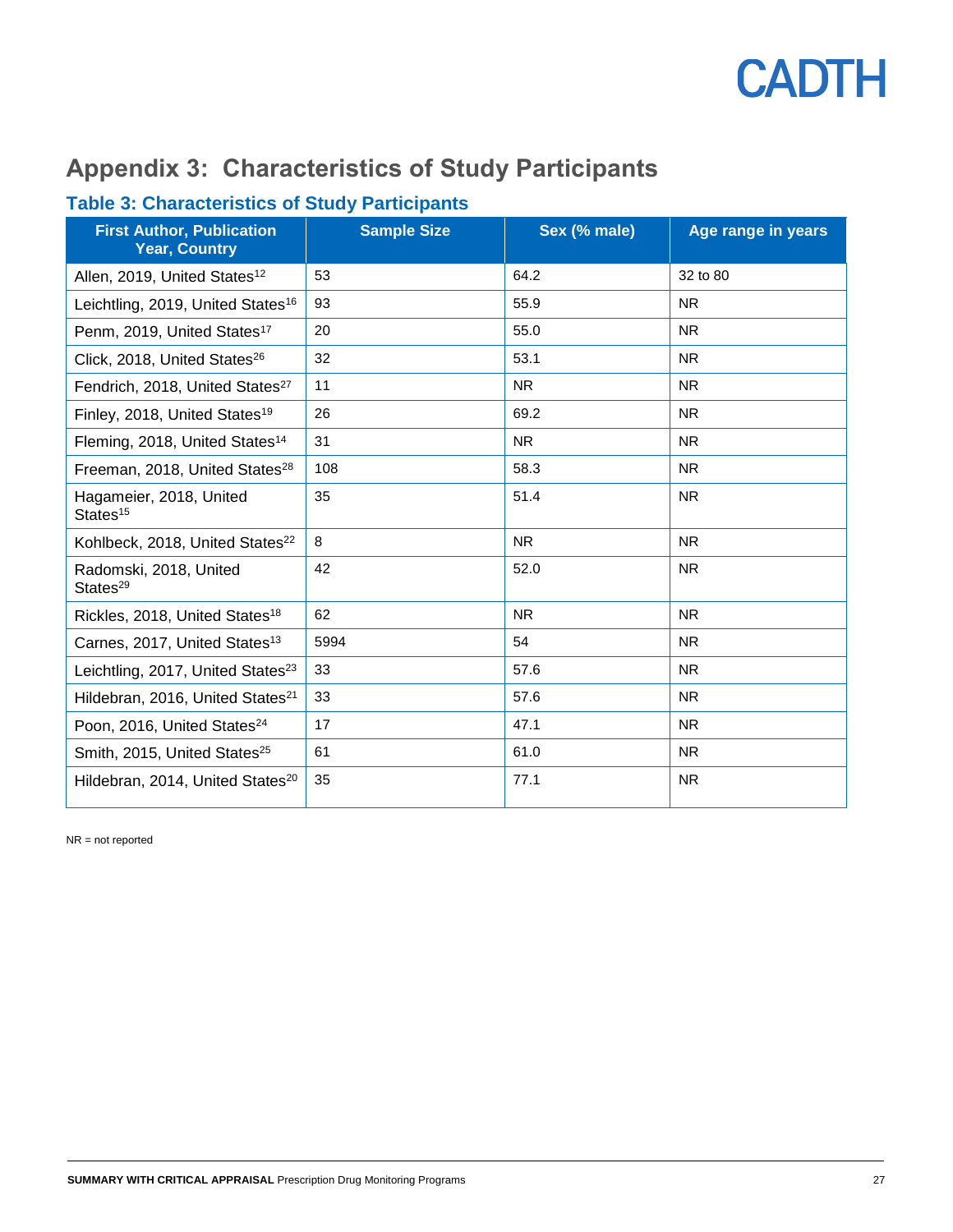

### **Appendix 3: Characteristics of Study Participants**

### **Table 3: Characteristics of Study Participants**

| <b>First Author, Publication</b><br><b>Year, Country</b> | <b>Sample Size</b> | Sex (% male) | Age range in years |
|----------------------------------------------------------|--------------------|--------------|--------------------|
| Allen, 2019, United States <sup>12</sup>                 | 53                 | 64.2         | 32 to 80           |
| Leichtling, 2019, United States <sup>16</sup>            | 93                 | 55.9         | <b>NR</b>          |
| Penm, 2019, United States <sup>17</sup>                  | 20                 | 55.0         | <b>NR</b>          |
| Click, 2018, United States <sup>26</sup>                 | 32                 | 53.1         | <b>NR</b>          |
| Fendrich, 2018, United States <sup>27</sup>              | 11                 | <b>NR</b>    | <b>NR</b>          |
| Finley, 2018, United States <sup>19</sup>                | 26                 | 69.2         | <b>NR</b>          |
| Fleming, 2018, United States <sup>14</sup>               | 31                 | <b>NR</b>    | <b>NR</b>          |
| Freeman, 2018, United States <sup>28</sup>               | 108                | 58.3         | <b>NR</b>          |
| Hagameier, 2018, United<br>States <sup>15</sup>          | 35                 | 51.4         | <b>NR</b>          |
| Kohlbeck, 2018, United States <sup>22</sup>              | 8                  | <b>NR</b>    | <b>NR</b>          |
| Radomski, 2018, United<br>States <sup>29</sup>           | 42                 | 52.0         | <b>NR</b>          |
| Rickles, 2018, United States <sup>18</sup>               | 62                 | <b>NR</b>    | <b>NR</b>          |
| Carnes, 2017, United States <sup>13</sup>                | 5994               | 54           | <b>NR</b>          |
| Leichtling, 2017, United States <sup>23</sup>            | 33                 | 57.6         | <b>NR</b>          |
| Hildebran, 2016, United States <sup>21</sup>             | 33                 | 57.6         | <b>NR</b>          |
| Poon, 2016, United States <sup>24</sup>                  | 17                 | 47.1         | <b>NR</b>          |
| Smith, 2015, United States <sup>25</sup>                 | 61                 | 61.0         | <b>NR</b>          |
| Hildebran, 2014, United States <sup>20</sup>             | 35                 | 77.1         | <b>NR</b>          |

NR = not reported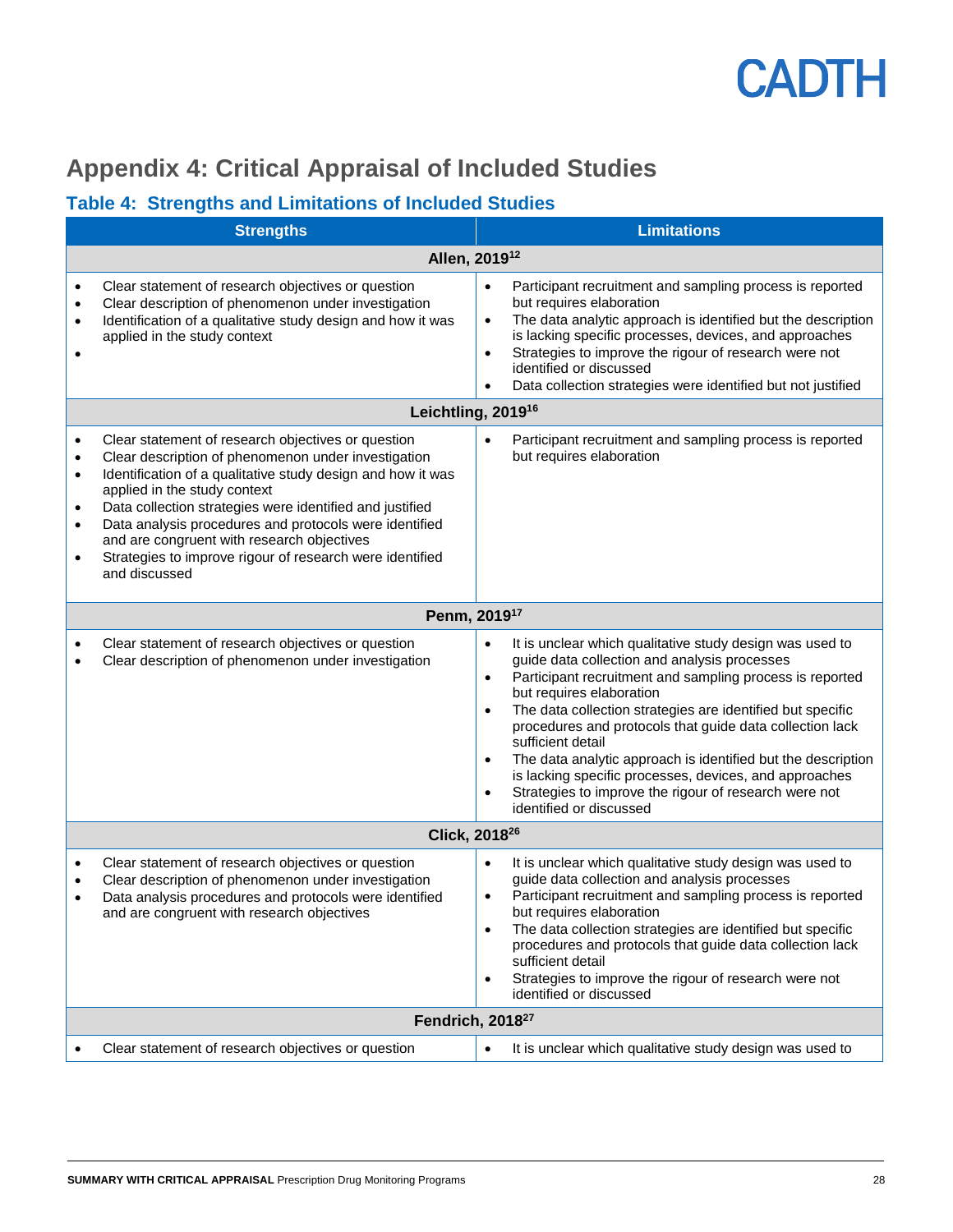

### **Appendix 4: Critical Appraisal of Included Studies**

### **Table 4: Strengths and Limitations of Included Studies**

|                                                                            | <b>Strengths</b>                                                                                                                                                                                                                                                                                                                                                                                                                                          | <b>Limitations</b>                                                                                                                                                                                                                                                                                                                                                                                                                                                                                                                                                                                                             |
|----------------------------------------------------------------------------|-----------------------------------------------------------------------------------------------------------------------------------------------------------------------------------------------------------------------------------------------------------------------------------------------------------------------------------------------------------------------------------------------------------------------------------------------------------|--------------------------------------------------------------------------------------------------------------------------------------------------------------------------------------------------------------------------------------------------------------------------------------------------------------------------------------------------------------------------------------------------------------------------------------------------------------------------------------------------------------------------------------------------------------------------------------------------------------------------------|
|                                                                            | Allen, 2019 <sup>12</sup>                                                                                                                                                                                                                                                                                                                                                                                                                                 |                                                                                                                                                                                                                                                                                                                                                                                                                                                                                                                                                                                                                                |
| $\bullet$<br>$\bullet$<br>$\bullet$<br>$\bullet$                           | Clear statement of research objectives or question<br>Clear description of phenomenon under investigation<br>Identification of a qualitative study design and how it was<br>applied in the study context                                                                                                                                                                                                                                                  | Participant recruitment and sampling process is reported<br>$\bullet$<br>but requires elaboration<br>The data analytic approach is identified but the description<br>$\bullet$<br>is lacking specific processes, devices, and approaches<br>Strategies to improve the rigour of research were not<br>$\bullet$<br>identified or discussed<br>Data collection strategies were identified but not justified                                                                                                                                                                                                                      |
|                                                                            | Leichtling, 2019 <sup>16</sup>                                                                                                                                                                                                                                                                                                                                                                                                                            |                                                                                                                                                                                                                                                                                                                                                                                                                                                                                                                                                                                                                                |
| $\bullet$<br>$\bullet$<br>$\bullet$<br>$\bullet$<br>$\bullet$<br>$\bullet$ | Clear statement of research objectives or question<br>Clear description of phenomenon under investigation<br>Identification of a qualitative study design and how it was<br>applied in the study context<br>Data collection strategies were identified and justified<br>Data analysis procedures and protocols were identified<br>and are congruent with research objectives<br>Strategies to improve rigour of research were identified<br>and discussed | Participant recruitment and sampling process is reported<br>$\bullet$<br>but requires elaboration                                                                                                                                                                                                                                                                                                                                                                                                                                                                                                                              |
|                                                                            | Penm, 2019 <sup>17</sup>                                                                                                                                                                                                                                                                                                                                                                                                                                  |                                                                                                                                                                                                                                                                                                                                                                                                                                                                                                                                                                                                                                |
| $\bullet$<br>$\bullet$                                                     | Clear statement of research objectives or question<br>Clear description of phenomenon under investigation                                                                                                                                                                                                                                                                                                                                                 | It is unclear which qualitative study design was used to<br>$\bullet$<br>guide data collection and analysis processes<br>Participant recruitment and sampling process is reported<br>$\bullet$<br>but requires elaboration<br>The data collection strategies are identified but specific<br>$\bullet$<br>procedures and protocols that guide data collection lack<br>sufficient detail<br>The data analytic approach is identified but the description<br>$\bullet$<br>is lacking specific processes, devices, and approaches<br>Strategies to improve the rigour of research were not<br>$\bullet$<br>identified or discussed |
|                                                                            | Click, 2018 <sup>26</sup>                                                                                                                                                                                                                                                                                                                                                                                                                                 |                                                                                                                                                                                                                                                                                                                                                                                                                                                                                                                                                                                                                                |
| ٠<br>$\bullet$<br>$\bullet$                                                | Clear statement of research objectives or question<br>Clear description of phenomenon under investigation<br>Data analysis procedures and protocols were identified<br>and are congruent with research objectives                                                                                                                                                                                                                                         | It is unclear which qualitative study design was used to<br>$\bullet$<br>guide data collection and analysis processes<br>Participant recruitment and sampling process is reported<br>$\bullet$<br>but requires elaboration<br>The data collection strategies are identified but specific<br>$\bullet$<br>procedures and protocols that guide data collection lack<br>sufficient detail<br>Strategies to improve the rigour of research were not<br>$\bullet$<br>identified or discussed                                                                                                                                        |
|                                                                            | Fendrich, 2018 <sup>27</sup>                                                                                                                                                                                                                                                                                                                                                                                                                              |                                                                                                                                                                                                                                                                                                                                                                                                                                                                                                                                                                                                                                |
|                                                                            | Clear statement of research objectives or question                                                                                                                                                                                                                                                                                                                                                                                                        | $\bullet$<br>It is unclear which qualitative study design was used to                                                                                                                                                                                                                                                                                                                                                                                                                                                                                                                                                          |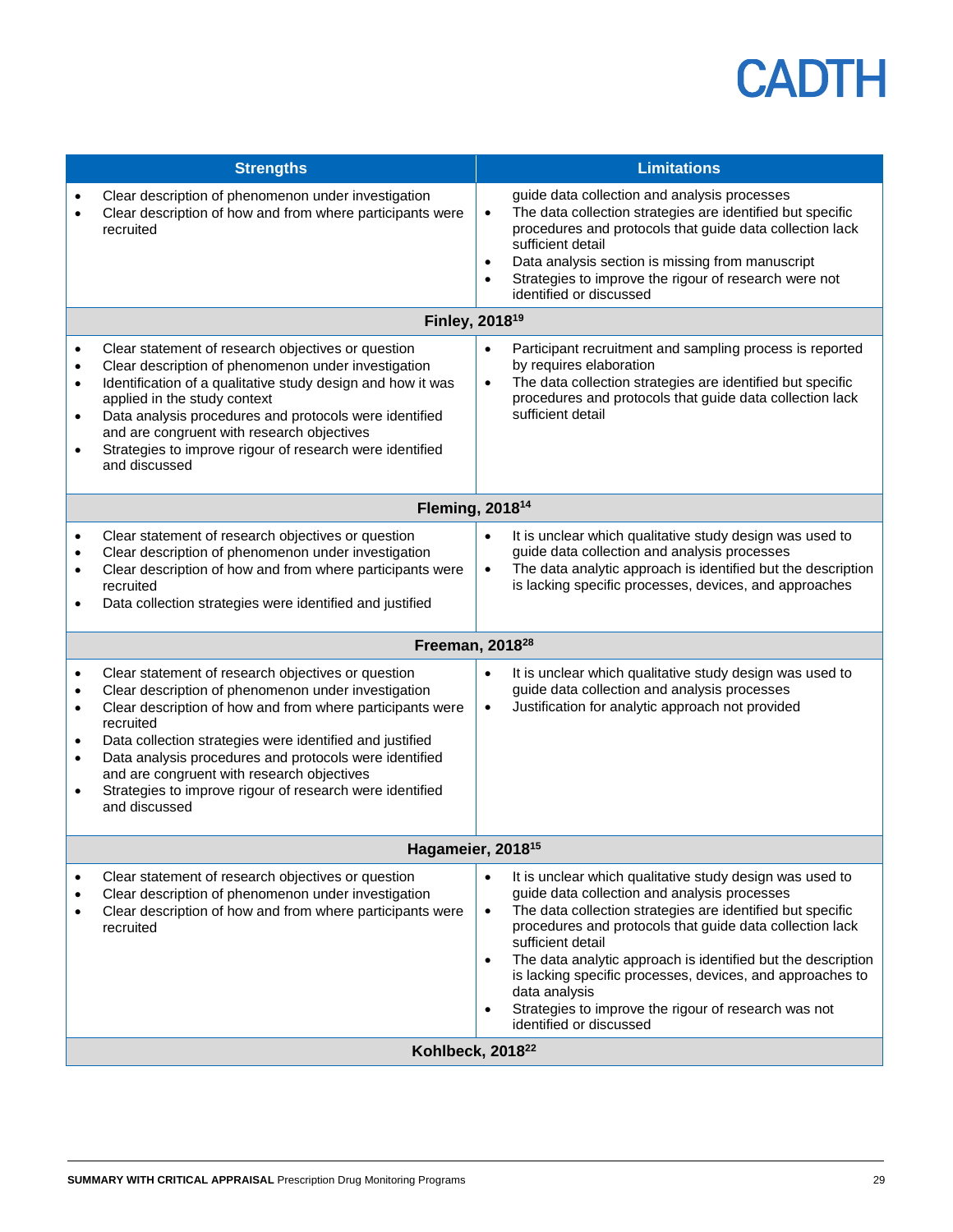|                                                                    | <b>Strengths</b>                                                                                                                                                                                                                                                                                                                                                                                                                     | <b>Limitations</b>                                                                                                                                                                                                                                                                                                                                                                                                                                                                                                                           |  |  |  |  |
|--------------------------------------------------------------------|--------------------------------------------------------------------------------------------------------------------------------------------------------------------------------------------------------------------------------------------------------------------------------------------------------------------------------------------------------------------------------------------------------------------------------------|----------------------------------------------------------------------------------------------------------------------------------------------------------------------------------------------------------------------------------------------------------------------------------------------------------------------------------------------------------------------------------------------------------------------------------------------------------------------------------------------------------------------------------------------|--|--|--|--|
| $\bullet$<br>$\bullet$                                             | Clear description of phenomenon under investigation<br>Clear description of how and from where participants were<br>recruited                                                                                                                                                                                                                                                                                                        | guide data collection and analysis processes<br>The data collection strategies are identified but specific<br>$\bullet$<br>procedures and protocols that guide data collection lack<br>sufficient detail<br>Data analysis section is missing from manuscript<br>$\bullet$<br>Strategies to improve the rigour of research were not<br>$\bullet$<br>identified or discussed                                                                                                                                                                   |  |  |  |  |
|                                                                    | Finley, 2018 <sup>19</sup>                                                                                                                                                                                                                                                                                                                                                                                                           |                                                                                                                                                                                                                                                                                                                                                                                                                                                                                                                                              |  |  |  |  |
| $\bullet$<br>$\bullet$<br>$\bullet$<br>$\bullet$<br>$\bullet$      | Clear statement of research objectives or question<br>Clear description of phenomenon under investigation<br>Identification of a qualitative study design and how it was<br>applied in the study context<br>Data analysis procedures and protocols were identified<br>and are congruent with research objectives<br>Strategies to improve rigour of research were identified<br>and discussed                                        | Participant recruitment and sampling process is reported<br>$\bullet$<br>by requires elaboration<br>The data collection strategies are identified but specific<br>$\bullet$<br>procedures and protocols that guide data collection lack<br>sufficient detail                                                                                                                                                                                                                                                                                 |  |  |  |  |
|                                                                    | Fleming, 2018 <sup>14</sup>                                                                                                                                                                                                                                                                                                                                                                                                          |                                                                                                                                                                                                                                                                                                                                                                                                                                                                                                                                              |  |  |  |  |
| $\bullet$<br>٠<br>٠<br>$\bullet$                                   | Clear statement of research objectives or question<br>Clear description of phenomenon under investigation<br>Clear description of how and from where participants were<br>recruited<br>Data collection strategies were identified and justified                                                                                                                                                                                      | It is unclear which qualitative study design was used to<br>$\bullet$<br>guide data collection and analysis processes<br>The data analytic approach is identified but the description<br>$\bullet$<br>is lacking specific processes, devices, and approaches                                                                                                                                                                                                                                                                                 |  |  |  |  |
|                                                                    | Freeman, 2018 <sup>28</sup>                                                                                                                                                                                                                                                                                                                                                                                                          |                                                                                                                                                                                                                                                                                                                                                                                                                                                                                                                                              |  |  |  |  |
| $\bullet$<br>$\bullet$<br>$\bullet$<br>$\bullet$<br>$\bullet$<br>٠ | Clear statement of research objectives or question<br>Clear description of phenomenon under investigation<br>Clear description of how and from where participants were<br>recruited<br>Data collection strategies were identified and justified<br>Data analysis procedures and protocols were identified<br>and are congruent with research objectives<br>Strategies to improve rigour of research were identified<br>and discussed | It is unclear which qualitative study design was used to<br>$\bullet$<br>guide data collection and analysis processes<br>Justification for analytic approach not provided<br>$\bullet$                                                                                                                                                                                                                                                                                                                                                       |  |  |  |  |
|                                                                    | Hagameier, 2018 <sup>15</sup>                                                                                                                                                                                                                                                                                                                                                                                                        |                                                                                                                                                                                                                                                                                                                                                                                                                                                                                                                                              |  |  |  |  |
| $\bullet$<br>٠<br>٠                                                | Clear statement of research objectives or question<br>Clear description of phenomenon under investigation<br>Clear description of how and from where participants were<br>recruited                                                                                                                                                                                                                                                  | It is unclear which qualitative study design was used to<br>$\bullet$<br>guide data collection and analysis processes<br>The data collection strategies are identified but specific<br>$\bullet$<br>procedures and protocols that guide data collection lack<br>sufficient detail<br>The data analytic approach is identified but the description<br>$\bullet$<br>is lacking specific processes, devices, and approaches to<br>data analysis<br>Strategies to improve the rigour of research was not<br>$\bullet$<br>identified or discussed |  |  |  |  |
|                                                                    | Kohlbeck, 2018 <sup>22</sup>                                                                                                                                                                                                                                                                                                                                                                                                         |                                                                                                                                                                                                                                                                                                                                                                                                                                                                                                                                              |  |  |  |  |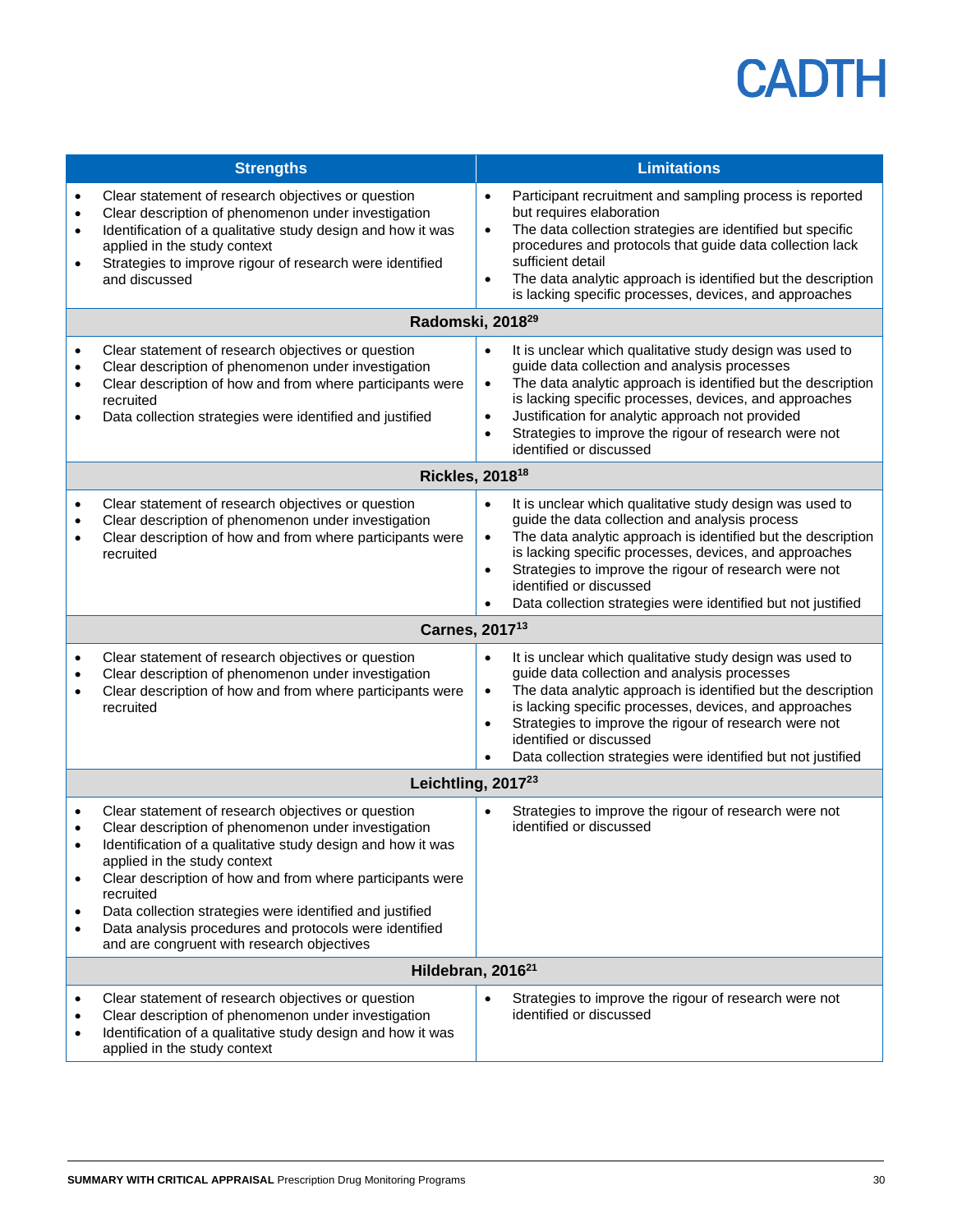|                                                               | <b>Strengths</b>                                                                                                                                                                                                                                                                                                                                                                                                                                       | <b>Limitations</b>                                                                                                                                                                                                                                                                                                                                                                                                                         |
|---------------------------------------------------------------|--------------------------------------------------------------------------------------------------------------------------------------------------------------------------------------------------------------------------------------------------------------------------------------------------------------------------------------------------------------------------------------------------------------------------------------------------------|--------------------------------------------------------------------------------------------------------------------------------------------------------------------------------------------------------------------------------------------------------------------------------------------------------------------------------------------------------------------------------------------------------------------------------------------|
| $\bullet$<br>$\bullet$<br>$\bullet$<br>$\bullet$              | Clear statement of research objectives or question<br>Clear description of phenomenon under investigation<br>Identification of a qualitative study design and how it was<br>applied in the study context<br>Strategies to improve rigour of research were identified<br>and discussed                                                                                                                                                                  | Participant recruitment and sampling process is reported<br>$\bullet$<br>but requires elaboration<br>The data collection strategies are identified but specific<br>$\bullet$<br>procedures and protocols that guide data collection lack<br>sufficient detail<br>The data analytic approach is identified but the description<br>$\bullet$<br>is lacking specific processes, devices, and approaches                                       |
|                                                               | Radomski, 2018 <sup>29</sup>                                                                                                                                                                                                                                                                                                                                                                                                                           |                                                                                                                                                                                                                                                                                                                                                                                                                                            |
| $\bullet$<br>$\bullet$<br>$\bullet$<br>$\bullet$              | Clear statement of research objectives or question<br>Clear description of phenomenon under investigation<br>Clear description of how and from where participants were<br>recruited<br>Data collection strategies were identified and justified                                                                                                                                                                                                        | It is unclear which qualitative study design was used to<br>$\bullet$<br>guide data collection and analysis processes<br>The data analytic approach is identified but the description<br>$\bullet$<br>is lacking specific processes, devices, and approaches<br>Justification for analytic approach not provided<br>$\bullet$<br>Strategies to improve the rigour of research were not<br>$\bullet$<br>identified or discussed             |
|                                                               | Rickles, 2018 <sup>18</sup>                                                                                                                                                                                                                                                                                                                                                                                                                            |                                                                                                                                                                                                                                                                                                                                                                                                                                            |
| $\bullet$<br>$\bullet$<br>$\bullet$                           | Clear statement of research objectives or question<br>Clear description of phenomenon under investigation<br>Clear description of how and from where participants were<br>recruited                                                                                                                                                                                                                                                                    | It is unclear which qualitative study design was used to<br>$\bullet$<br>guide the data collection and analysis process<br>The data analytic approach is identified but the description<br>$\bullet$<br>is lacking specific processes, devices, and approaches<br>Strategies to improve the rigour of research were not<br>$\bullet$<br>identified or discussed<br>Data collection strategies were identified but not justified            |
|                                                               | Carnes, 2017 <sup>13</sup>                                                                                                                                                                                                                                                                                                                                                                                                                             |                                                                                                                                                                                                                                                                                                                                                                                                                                            |
| $\bullet$<br>$\bullet$<br>$\bullet$                           | Clear statement of research objectives or question<br>Clear description of phenomenon under investigation<br>Clear description of how and from where participants were<br>recruited                                                                                                                                                                                                                                                                    | It is unclear which qualitative study design was used to<br>$\bullet$<br>guide data collection and analysis processes<br>The data analytic approach is identified but the description<br>$\bullet$<br>is lacking specific processes, devices, and approaches<br>Strategies to improve the rigour of research were not<br>$\bullet$<br>identified or discussed<br>Data collection strategies were identified but not justified<br>$\bullet$ |
|                                                               | Leichtling, 2017 <sup>23</sup>                                                                                                                                                                                                                                                                                                                                                                                                                         |                                                                                                                                                                                                                                                                                                                                                                                                                                            |
| $\bullet$<br>$\bullet$<br>$\bullet$<br>$\bullet$<br>$\bullet$ | Clear statement of research objectives or question<br>Clear description of phenomenon under investigation<br>Identification of a qualitative study design and how it was<br>applied in the study context<br>Clear description of how and from where participants were<br>recruited<br>Data collection strategies were identified and justified<br>Data analysis procedures and protocols were identified<br>and are congruent with research objectives | Strategies to improve the rigour of research were not<br>$\bullet$<br>identified or discussed                                                                                                                                                                                                                                                                                                                                              |
|                                                               | Hildebran, 2016 <sup>21</sup>                                                                                                                                                                                                                                                                                                                                                                                                                          |                                                                                                                                                                                                                                                                                                                                                                                                                                            |
| ٠<br>٠                                                        | Clear statement of research objectives or question<br>Clear description of phenomenon under investigation<br>Identification of a qualitative study design and how it was<br>applied in the study context                                                                                                                                                                                                                                               | Strategies to improve the rigour of research were not<br>$\bullet$<br>identified or discussed                                                                                                                                                                                                                                                                                                                                              |